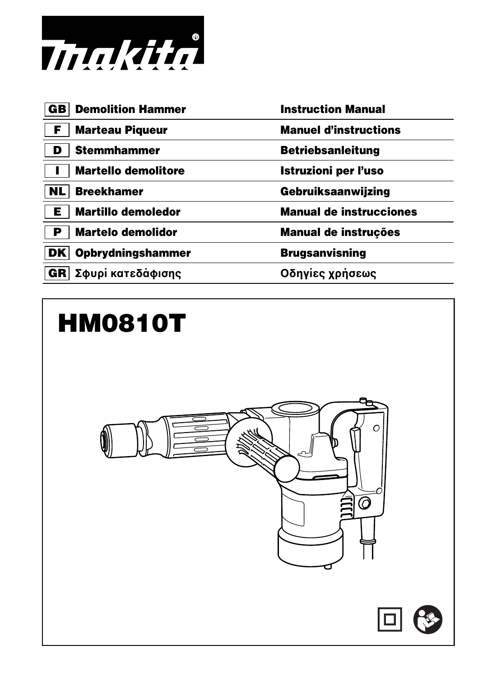

| <b>Demolition Hammer</b><br>GB | <b>Instruction Manual</b>      |
|--------------------------------|--------------------------------|
| <b>Marteau Piqueur</b><br>F    | <b>Manuel d'instructions</b>   |
| <b>Stemmhammer</b>             | <b>Betriebsanleitung</b>       |
| <b>Martello demolitore</b>     | Istruzioni per l'uso           |
| <b>Breekhamer</b><br>NL        | Gebruiksaanwijzing             |
| <b>Martillo demoledor</b><br>Е | <b>Manual de instrucciones</b> |
| <b>Martelo demolidor</b><br>Р  | <b>Manual de instruções</b>    |
| <b>Opbrydningshammer</b><br>DK | <b>Brugsanvisning</b>          |
| GR Σφυρί κατεδάφισης           | Οδηγίες χρήσεως                |
|                                |                                |

# **HM0810T**



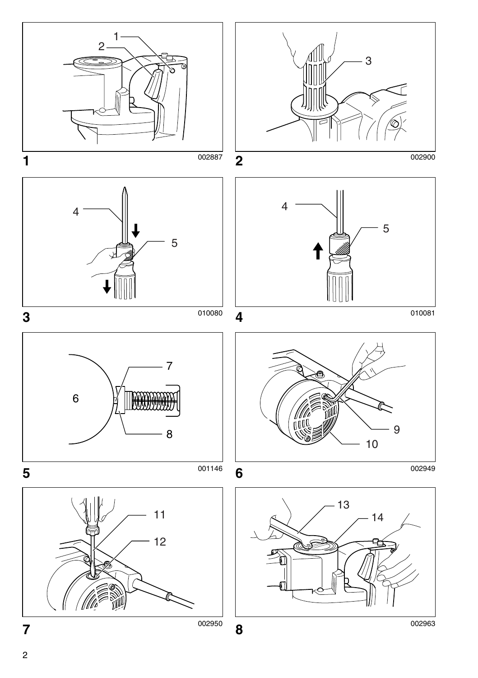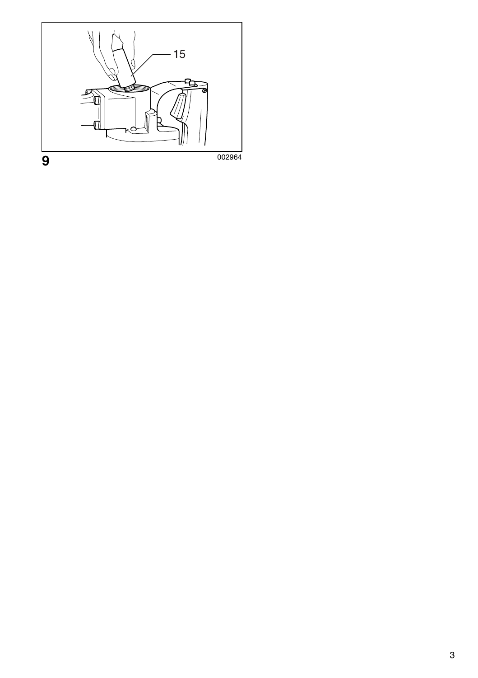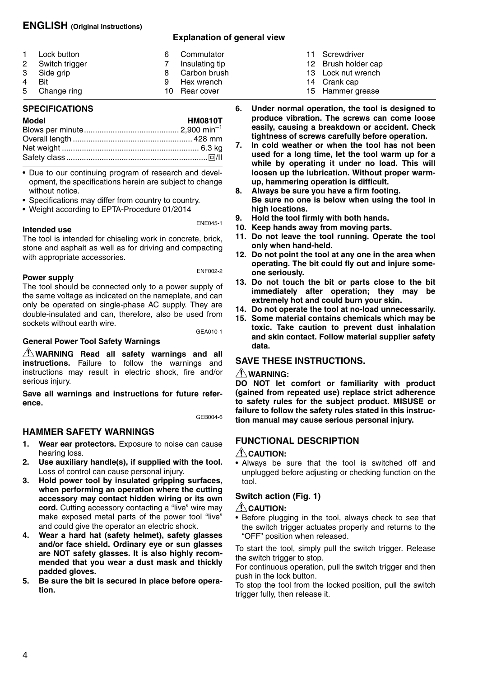#### **ENGLISH (Original instructions)**

#### **Explanation of general view**

| 1<br>Lock button<br>2 Switch trigger<br>3 Side grip<br>4<br><b>Bit</b><br>5 Change ring | 6<br>8<br>q | Commutator<br>Insulating tip<br>Carbon brush<br>Hex wrench<br>10 Rear cover |
|-----------------------------------------------------------------------------------------|-------------|-----------------------------------------------------------------------------|
|-----------------------------------------------------------------------------------------|-------------|-----------------------------------------------------------------------------|

#### **SPECIFICATIONS**

#### **Model HM0810T** Blows per minute........................................... 2,900 min–1 Overall length ...................................................... 428 mm Net weight .............................................................. 6.3 kg Safety class................................................................ /II

• Due to our continuing program of research and development, the specifications herein are subject to change without notice.

- Specifications may differ from country to country.
- Weight according to EPTA-Procedure 01/2014

#### **Intended use**

The tool is intended for chiseling work in concrete, brick, stone and asphalt as well as for driving and compacting with appropriate accessories.

#### **Power supply**

ENF002-2

ENE045-1

The tool should be connected only to a power supply of the same voltage as indicated on the nameplate, and can only be operated on single-phase AC supply. They are double-insulated and can, therefore, also be used from sockets without earth wire.

GEA010-1

#### **General Power Tool Safety Warnings**

**WARNING Read all safety warnings and all instructions.** Failure to follow the warnings and instructions may result in electric shock, fire and/or serious injury.

**Save all warnings and instructions for future reference.**

GEB004-6

#### **HAMMER SAFETY WARNINGS**

- **1. Wear ear protectors.** Exposure to noise can cause hearing loss.
- **2. Use auxiliary handle(s), if supplied with the tool.** Loss of control can cause personal injury.
- **3. Hold power tool by insulated gripping surfaces, when performing an operation where the cutting accessory may contact hidden wiring or its own cord.** Cutting accessory contacting a "live" wire may make exposed metal parts of the power tool "live" and could give the operator an electric shock.
- **4. Wear a hard hat (safety helmet), safety glasses and/or face shield. Ordinary eye or sun glasses are NOT safety glasses. It is also highly recommended that you wear a dust mask and thickly padded gloves.**
- **5. Be sure the bit is secured in place before operation.**
- 11 Screwdriver
- 12 Brush holder cap
- 13 Lock nut wrench
- 14 Crank cap
- 15 Hammer grease
- **6. Under normal operation, the tool is designed to produce vibration. The screws can come loose easily, causing a breakdown or accident. Check tightness of screws carefully before operation.**
- **7. In cold weather or when the tool has not been used for a long time, let the tool warm up for a while by operating it under no load. This will loosen up the lubrication. Without proper warmup, hammering operation is difficult.**
- **8. Always be sure you have a firm footing. Be sure no one is below when using the tool in high locations.**
- **9. Hold the tool firmly with both hands.**
- **10. Keep hands away from moving parts.**
- **11. Do not leave the tool running. Operate the tool only when hand-held.**
- **12. Do not point the tool at any one in the area when operating. The bit could fly out and injure someone seriously.**
- **13. Do not touch the bit or parts close to the bit immediately after operation; they may be extremely hot and could burn your skin.**
- **14. Do not operate the tool at no-load unnecessarily.**
- **15. Some material contains chemicals which may be toxic. Take caution to prevent dust inhalation and skin contact. Follow material supplier safety data.**

#### **SAVE THESE INSTRUCTIONS.**

#### **WARNING:**

**DO NOT let comfort or familiarity with product (gained from repeated use) replace strict adherence to safety rules for the subject product. MISUSE or failure to follow the safety rules stated in this instruction manual may cause serious personal injury.**

#### **FUNCTIONAL DESCRIPTION**

#### **CAUTION:**

• Always be sure that the tool is switched off and unplugged before adjusting or checking function on the tool.

#### **Switch action (Fig. 1)**

#### $\bigwedge$  CAUTION:

• Before plugging in the tool, always check to see that the switch trigger actuates properly and returns to the "OFF" position when released.

To start the tool, simply pull the switch trigger. Release the switch trigger to stop.

For continuous operation, pull the switch trigger and then push in the lock button.

To stop the tool from the locked position, pull the switch trigger fully, then release it.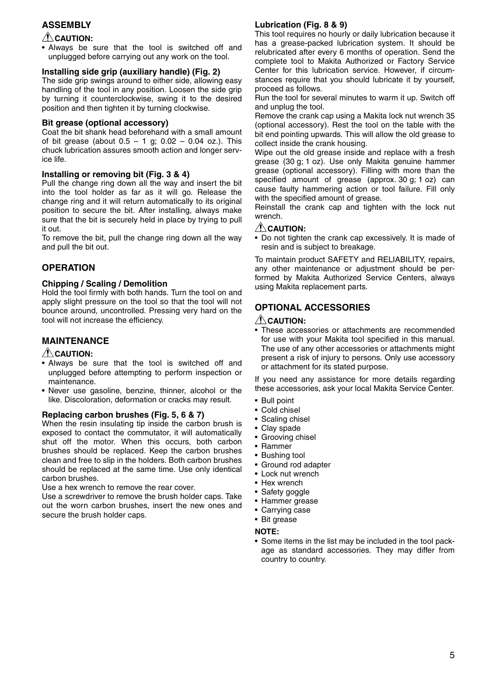#### **ASSEMBLY**

#### $\triangle$  CAUTION:

• Always be sure that the tool is switched off and unplugged before carrying out any work on the tool.

#### **Installing side grip (auxiliary handle) (Fig. 2)**

The side grip swings around to either side, allowing easy handling of the tool in any position. Loosen the side grip by turning it counterclockwise, swing it to the desired position and then tighten it by turning clockwise.

#### **Bit grease (optional accessory)**

Coat the bit shank head beforehand with a small amount of bit grease (about  $0.5 - 1$  g;  $0.02 - 0.04$  oz.). This chuck lubrication assures smooth action and longer service life.

#### **Installing or removing bit (Fig. 3 & 4)**

Pull the change ring down all the way and insert the bit into the tool holder as far as it will go. Release the change ring and it will return automatically to its original position to secure the bit. After installing, always make sure that the bit is securely held in place by trying to pull it out.

To remove the bit, pull the change ring down all the way and pull the bit out.

#### **OPERATION**

#### **Chipping / Scaling / Demolition**

Hold the tool firmly with both hands. Turn the tool on and apply slight pressure on the tool so that the tool will not bounce around, uncontrolled. Pressing very hard on the tool will not increase the efficiency.

#### **MAINTENANCE**

#### **CAUTION:**

- Always be sure that the tool is switched off and unplugged before attempting to perform inspection or maintenance.
- Never use gasoline, benzine, thinner, alcohol or the like. Discoloration, deformation or cracks may result.

#### **Replacing carbon brushes (Fig. 5, 6 & 7)**

When the resin insulating tip inside the carbon brush is exposed to contact the commutator, it will automatically shut off the motor. When this occurs, both carbon brushes should be replaced. Keep the carbon brushes clean and free to slip in the holders. Both carbon brushes should be replaced at the same time. Use only identical carbon brushes.

Use a hex wrench to remove the rear cover.

Use a screwdriver to remove the brush holder caps. Take out the worn carbon brushes, insert the new ones and secure the brush holder caps.

#### **Lubrication (Fig. 8 & 9)**

This tool requires no hourly or daily lubrication because it has a grease-packed lubrication system. It should be relubricated after every 6 months of operation. Send the complete tool to Makita Authorized or Factory Service Center for this lubrication service. However, if circumstances require that you should lubricate it by yourself. proceed as follows.

Run the tool for several minutes to warm it up. Switch off and unplug the tool.

Remove the crank cap using a Makita lock nut wrench 35 (optional accessory). Rest the tool on the table with the bit end pointing upwards. This will allow the old grease to collect inside the crank housing.

Wipe out the old grease inside and replace with a fresh grease (30 g; 1 oz). Use only Makita genuine hammer grease (optional accessory). Filling with more than the specified amount of grease (approx. 30 g; 1 oz) can cause faulty hammering action or tool failure. Fill only with the specified amount of grease.

Reinstall the crank cap and tighten with the lock nut wrench.

#### $\bigwedge$ CAUTION:

• Do not tighten the crank cap excessively. It is made of resin and is subject to breakage.

To maintain product SAFETY and RELIABILITY, repairs, any other maintenance or adjustment should be performed by Makita Authorized Service Centers, always using Makita replacement parts.

#### **OPTIONAL ACCESSORIES**

#### **CAUTION:**

• These accessories or attachments are recommended for use with your Makita tool specified in this manual. The use of any other accessories or attachments might present a risk of injury to persons. Only use accessory or attachment for its stated purpose.

If you need any assistance for more details regarding these accessories, ask your local Makita Service Center.

- Bull point
- Cold chisel
- Scaling chisel
- Clay spade
- Grooving chisel
- Rammer
- Bushing tool
- Ground rod adapter
- Lock nut wrench
- Hex wrench
- Safety goggle
- Hammer grease
- Carrying case
- Bit grease

#### **NOTE:**

• Some items in the list may be included in the tool package as standard accessories. They may differ from country to country.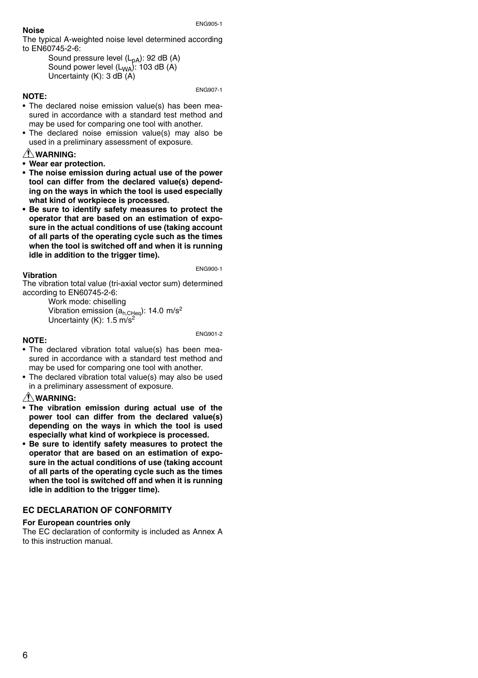#### **Noise**

The typical A-weighted noise level determined according to EN60745-2-6:

> Sound pressure level  $(L_{pA})$ : 92 dB  $(A)$ Sound power level  $(L_{WA})$ : 103 dB (A) Uncertainty (K): 3 dB (A)

#### **NOTE:**

ENG907-1

- The declared noise emission value(s) has been measured in accordance with a standard test method and may be used for comparing one tool with another.
- The declared noise emission value(s) may also be used in a preliminary assessment of exposure.

#### **WARNING:**

- **Wear ear protection.**
- **The noise emission during actual use of the power tool can differ from the declared value(s) depending on the ways in which the tool is used especially what kind of workpiece is processed.**
- **Be sure to identify safety measures to protect the operator that are based on an estimation of exposure in the actual conditions of use (taking account of all parts of the operating cycle such as the times when the tool is switched off and when it is running idle in addition to the trigger time).**

#### **Vibration**

ENG900-1

The vibration total value (tri-axial vector sum) determined according to EN60745-2-6:

> Work mode: chiselling Vibration emission  $(a_{h,CHeq}$ : 14.0 m/s<sup>2</sup> Uncertainty  $(K)$ : 1.5 m/s<sup>2</sup>

#### **NOTE:**

ENG901-2

- The declared vibration total value(s) has been measured in accordance with a standard test method and may be used for comparing one tool with another.
- The declared vibration total value(s) may also be used in a preliminary assessment of exposure.

#### **WARNING:**

- **The vibration emission during actual use of the power tool can differ from the declared value(s) depending on the ways in which the tool is used especially what kind of workpiece is processed.**
- **Be sure to identify safety measures to protect the operator that are based on an estimation of exposure in the actual conditions of use (taking account of all parts of the operating cycle such as the times when the tool is switched off and when it is running idle in addition to the trigger time).**

#### **EC DECLARATION OF CONFORMITY**

#### **For European countries only**

The EC declaration of conformity is included as Annex A to this instruction manual.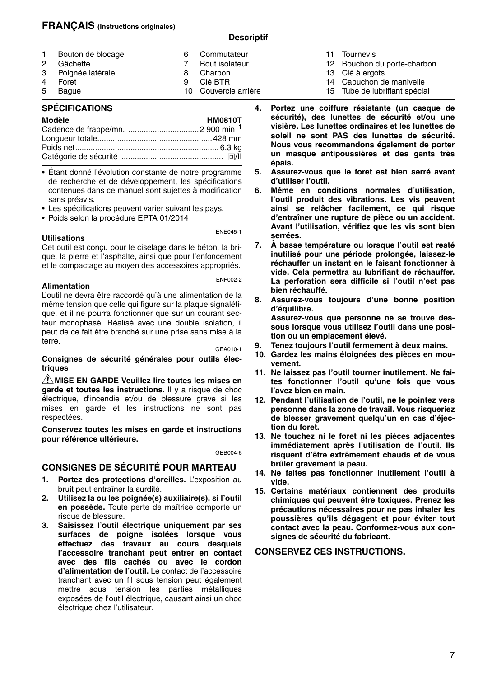#### **FRANÇAIS (Instructions originales)**

#### **Descriptif**

|   | 1 Bouton de blocage | 6 | Commutateur          |
|---|---------------------|---|----------------------|
| 2 | Gâchette            |   | Bout isolateur       |
|   | 3 Poignée latérale  | 8 | Charbon              |
| 4 | Foret               | Q | Clé BTR              |
|   | 5 Baque             |   | 10 Couvercle arrière |

#### **SPÉCIFICATIONS**

| Modèle | <b>HM0810T</b> |
|--------|----------------|
|        |                |
|        |                |
|        |                |
|        |                |

• Étant donné l'évolution constante de notre programme de recherche et de développement, les spécifications contenues dans ce manuel sont sujettes à modification sans préavis.

- Les spécifications peuvent varier suivant les pays.
- Poids selon la procédure EPTA 01/2014

#### **Utilisations**

ENE045-1

Cet outil est conçu pour le ciselage dans le béton, la brique, la pierre et l'asphalte, ainsi que pour l'enfoncement et le compactage au moyen des accessoires appropriés.

#### **Alimentation**

ENF002-2

L'outil ne devra être raccordé qu'à une alimentation de la même tension que celle qui figure sur la plaque signalétique, et il ne pourra fonctionner que sur un courant secteur monophasé. Réalisé avec une double isolation, il peut de ce fait être branché sur une prise sans mise à la terre.

GEA010-1

**Consignes de sécurité générales pour outils électriques**

**MISE EN GARDE Veuillez lire toutes les mises en garde et toutes les instructions.** Il y a risque de choc électrique, d'incendie et/ou de blessure grave si les mises en garde et les instructions ne sont pas respectées.

**Conservez toutes les mises en garde et instructions pour référence ultérieure.**

GEB004-6

#### **CONSIGNES DE SÉCURITÉ POUR MARTEAU**

- **1. Portez des protections d'oreilles.** L'exposition au bruit peut entraîner la surdité.
- **2. Utilisez la ou les poignée(s) auxiliaire(s), si l'outil en possède.** Toute perte de maîtrise comporte un risque de blessure.
- **3. Saisissez l'outil électrique uniquement par ses surfaces de poigne isolées lorsque vous effectuez des travaux au cours desquels l'accessoire tranchant peut entrer en contact avec des fils cachés ou avec le cordon d'alimentation de l'outil.** Le contact de l'accessoire tranchant avec un fil sous tension peut également mettre sous tension les parties métalliques exposées de l'outil électrique, causant ainsi un choc électrique chez l'utilisateur.
- 11 Tournevis
- 12 Bouchon du porte-charbon
- 13 Clé à ergots
- 14 Capuchon de manivelle
- 15 Tube de lubrifiant spécial
- **4. Portez une coiffure résistante (un casque de sécurité), des lunettes de sécurité et/ou une visière. Les lunettes ordinaires et les lunettes de soleil ne sont PAS des lunettes de sécurité. Nous vous recommandons également de porter un masque antipoussières et des gants très épais.**
- **5. Assurez-vous que le foret est bien serré avant d'utiliser l'outil.**
- **6. Même en conditions normales d'utilisation, l'outil produit des vibrations. Les vis peuvent ainsi se relâcher facilement, ce qui risque d'entraîner une rupture de pièce ou un accident. Avant l'utilisation, vérifiez que les vis sont bien serrées.**
- **7. À basse température ou lorsque l'outil est resté inutilisé pour une période prolongée, laissez-le réchauffer un instant en le faisant fonctionner à vide. Cela permettra au lubrifiant de réchauffer. La perforation sera difficile si l'outil n'est pas bien réchauffé.**
- **8. Assurez-vous toujours d'une bonne position d'équilibre. Assurez-vous que personne ne se trouve dessous lorsque vous utilisez l'outil dans une position ou un emplacement élevé.**
- **9. Tenez toujours l'outil fermement à deux mains.**
- **10. Gardez les mains éloignées des pièces en mouvement.**
- **11. Ne laissez pas l'outil tourner inutilement. Ne faites fonctionner l'outil qu'une fois que vous l'avez bien en main.**
- **12. Pendant l'utilisation de l'outil, ne le pointez vers personne dans la zone de travail. Vous risqueriez de blesser gravement quelqu'un en cas d'éjection du foret.**
- **13. Ne touchez ni le foret ni les pièces adjacentes immédiatement après l'utilisation de l'outil. Ils risquent d'être extrêmement chauds et de vous brûler gravement la peau.**
- **14. Ne faites pas fonctionner inutilement l'outil à vide.**
- **15. Certains matériaux contiennent des produits chimiques qui peuvent être toxiques. Prenez les précautions nécessaires pour ne pas inhaler les poussières qu'ils dégagent et pour éviter tout contact avec la peau. Conformez-vous aux consignes de sécurité du fabricant.**

**CONSERVEZ CES INSTRUCTIONS.**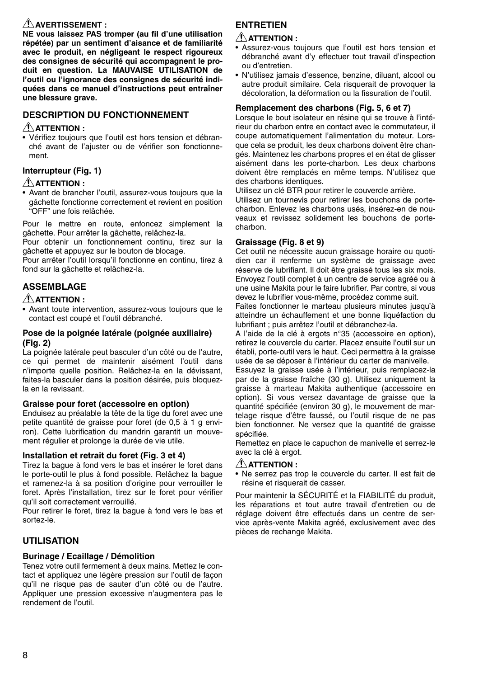#### $\bigwedge$  avertissement :

**NE vous laissez PAS tromper (au fil d'une utilisation répétée) par un sentiment d'aisance et de familiarité avec le produit, en négligeant le respect rigoureux des consignes de sécurité qui accompagnent le produit en question. La MAUVAISE UTILISATION de l'outil ou l'ignorance des consignes de sécurité indiquées dans ce manuel d'instructions peut entraîner une blessure grave.** 

#### **DESCRIPTION DU FONCTIONNEMENT**

#### **ATTENTION :**

• Vérifiez toujours que l'outil est hors tension et débranché avant de l'ajuster ou de vérifier son fonctionnement.

#### **Interrupteur (Fig. 1)**

#### **ATTENTION :**

• Avant de brancher l'outil, assurez-vous toujours que la gâchette fonctionne correctement et revient en position "OFF" une fois relâchée.

Pour le mettre en route, enfoncez simplement la gâchette. Pour arrêter la gâchette, relâchez-la.

Pour obtenir un fonctionnement continu, tirez sur la gâchette et appuyez sur le bouton de blocage.

Pour arrêter l'outil lorsqu'il fonctionne en continu, tirez à fond sur la gâchette et relâchez-la.

### **ASSEMBLAGE**

#### **ATTENTION :**

• Avant toute intervention, assurez-vous toujours que le contact est coupé et l'outil débranché.

#### **Pose de la poignée latérale (poignée auxiliaire) (Fig. 2)**

La poignée latérale peut basculer d'un côté ou de l'autre, ce qui permet de maintenir aisément l'outil dans n'importe quelle position. Relâchez-la en la dévissant, faites-la basculer dans la position désirée, puis bloquezla en la revissant.

#### **Graisse pour foret (accessoire en option)**

Enduisez au préalable la tête de la tige du foret avec une petite quantité de graisse pour foret (de 0.5 à 1 g environ). Cette lubrification du mandrin garantit un mouvement régulier et prolonge la durée de vie utile.

#### **Installation et retrait du foret (Fig. 3 et 4)**

Tirez la bague à fond vers le bas et insérer le foret dans le porte-outil le plus à fond possible. Relâchez la bague et ramenez-la à sa position d'origine pour verrouiller le foret. Après l'installation, tirez sur le foret pour vérifier qu'il soit correctement verrouillé.

Pour retirer le foret, tirez la bague à fond vers le bas et sortez-le.

#### **UTILISATION**

#### **Burinage / Ecaillage / Démolition**

Tenez votre outil fermement à deux mains. Mettez le contact et appliquez une légère pression sur l'outil de façon qu'il ne risque pas de sauter d'un côté ou de l'autre. Appliquer une pression excessive n'augmentera pas le rendement de l'outil.

#### **ENTRETIEN**

#### **ATTENTION :**

- Assurez-vous toujours que l'outil est hors tension et débranché avant d'y effectuer tout travail d'inspection ou d'entretien.
- N'utilisez jamais d'essence, benzine, diluant, alcool ou autre produit similaire. Cela risquerait de provoquer la décoloration, la déformation ou la fissuration de l'outil.

#### **Remplacement des charbons (Fig. 5, 6 et 7)**

Lorsque le bout isolateur en résine qui se trouve à l'intérieur du charbon entre en contact avec le commutateur, il coupe automatiquement l'alimentation du moteur. Lorsque cela se produit, les deux charbons doivent être changés. Maintenez les charbons propres et en état de glisser aisément dans les porte-charbon. Les deux charbons doivent être remplacés en même temps. N'utilisez que des charbons identiques.

Utilisez un clé BTR pour retirer le couvercle arrière.

Utilisez un tournevis pour retirer les bouchons de portecharbon. Enlevez les charbons usés, insérez-en de nouveaux et revissez solidement les bouchons de portecharbon.

#### **Graissage (Fig. 8 et 9)**

Cet outil ne nécessite aucun graissage horaire ou quotidien car il renferme un système de graissage avec réserve de lubrifiant. Il doit être graissé tous les six mois. Envoyez l'outil complet à un centre de service agréé ou à une usine Makita pour le faire lubrifier. Par contre, si vous devez le lubrifier vous-même, procédez comme suit.

Faites fonctionner le marteau plusieurs minutes jusqu'à atteindre un échauffement et une bonne liquéfaction du lubrifiant ; puis arrêtez l'outil et débranchez-la.

A l'aide de la clé à ergots n°35 (accessoire en option), retirez le couvercle du carter. Placez ensuite l'outil sur un établi, porte-outil vers le haut. Ceci permettra à la graisse usée de se déposer à l'intérieur du carter de manivelle.

Essuyez la graisse usée à l'intérieur, puis remplacez-la par de la graisse fraîche (30 g). Utilisez uniquement la graisse à marteau Makita authentique (accessoire en option). Si vous versez davantage de graisse que la quantité spécifiée (environ 30 g), le mouvement de martelage risque d'être faussé, ou l'outil risque de ne pas bien fonctionner. Ne versez que la quantité de graisse spécifiée.

Remettez en place le capuchon de manivelle et serrez-le avec la clé à ergot.

#### **ATTENTION :**

• Ne serrez pas trop le couvercle du carter. Il est fait de résine et risquerait de casser.

Pour maintenir la SÉCURITÉ et la FIABILITÉ du produit, les réparations et tout autre travail d'entretien ou de réglage doivent être effectués dans un centre de service après-vente Makita agréé, exclusivement avec des pièces de rechange Makita.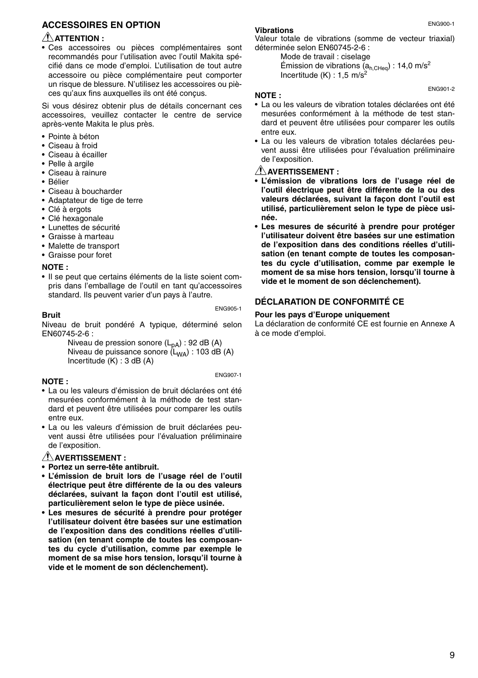#### **ACCESSOIRES EN OPTION**

#### **ATTENTION :**

• Ces accessoires ou pièces complémentaires sont recommandés pour l'utilisation avec l'outil Makita spécifié dans ce mode d'emploi. L'utilisation de tout autre accessoire ou pièce complémentaire peut comporter un risque de blessure. N'utilisez les accessoires ou pièces qu'aux fins auxquelles ils ont été conçus.

Si vous désirez obtenir plus de détails concernant ces accessoires, veuillez contacter le centre de service après-vente Makita le plus près.

- Pointe à béton
- Ciseau à froid
- Ciseau à écailler
- Pelle à argile
- Ciseau à rainure
- Bélier
- Ciseau à boucharder
- Adaptateur de tige de terre
- Clé à ergots
- Clé hexagonale
- Lunettes de sécurité
- Graisse à marteau
- Malette de transport
- Graisse pour foret

#### **NOTE :**

• Il se peut que certains éléments de la liste soient compris dans l'emballage de l'outil en tant qu'accessoires standard. Ils peuvent varier d'un pays à l'autre.

ENG905-1

#### **Bruit**

Niveau de bruit pondéré A typique, déterminé selon EN60745-2-6 :

Niveau de pression sonore (L<sub>pA</sub>) : 92 dB (A)<br>Niveau de puissance sonore (L<sub>WA</sub>) : 103 dB (A) Incertitude (K) : 3 dB (A)

ENG907-1

#### **NOTE :**

- La ou les valeurs d'émission de bruit déclarées ont été mesurées conformément à la méthode de test standard et peuvent être utilisées pour comparer les outils entre eux.
- La ou les valeurs d'émission de bruit déclarées peuvent aussi être utilisées pour l'évaluation préliminaire de l'exposition.

#### **AVERTISSEMENT :**

- **Portez un serre-tête antibruit.**
- **L'émission de bruit lors de l'usage réel de l'outil électrique peut être différente de la ou des valeurs déclarées, suivant la façon dont l'outil est utilisé, particulièrement selon le type de pièce usinée.**
- **Les mesures de sécurité à prendre pour protéger l'utilisateur doivent être basées sur une estimation de l'exposition dans des conditions réelles d'utilisation (en tenant compte de toutes les composantes du cycle d'utilisation, comme par exemple le moment de sa mise hors tension, lorsqu'il tourne à vide et le moment de son déclenchement).**

#### **Vibrations**

Valeur totale de vibrations (somme de vecteur triaxial) déterminée selon EN60745-2-6 :

> Mode de travail : ciselage Émission de vibrations  $(a_{h,CHen})$  : 14,0 m/s<sup>2</sup> Incertitude  $(K)$  : 1.5 m/s<sup>2</sup>

#### **NOTE :**

- La ou les valeurs de vibration totales déclarées ont été mesurées conformément à la méthode de test standard et peuvent être utilisées pour comparer les outils entre eux.
- La ou les valeurs de vibration totales déclarées peuvent aussi être utilisées pour l'évaluation préliminaire de l'exposition.

#### **AVERTISSEMENT :**

- **L'émission de vibrations lors de l'usage réel de l'outil électrique peut être différente de la ou des valeurs déclarées, suivant la façon dont l'outil est utilisé, particulièrement selon le type de pièce usinée.**
- **Les mesures de sécurité à prendre pour protéger l'utilisateur doivent être basées sur une estimation de l'exposition dans des conditions réelles d'utilisation (en tenant compte de toutes les composantes du cycle d'utilisation, comme par exemple le moment de sa mise hors tension, lorsqu'il tourne à vide et le moment de son déclenchement).**

#### **DÉCLARATION DE CONFORMITÉ CE**

#### **Pour les pays d'Europe uniquement**

La déclaration de conformité CE est fournie en Annexe A à ce mode d'emploi.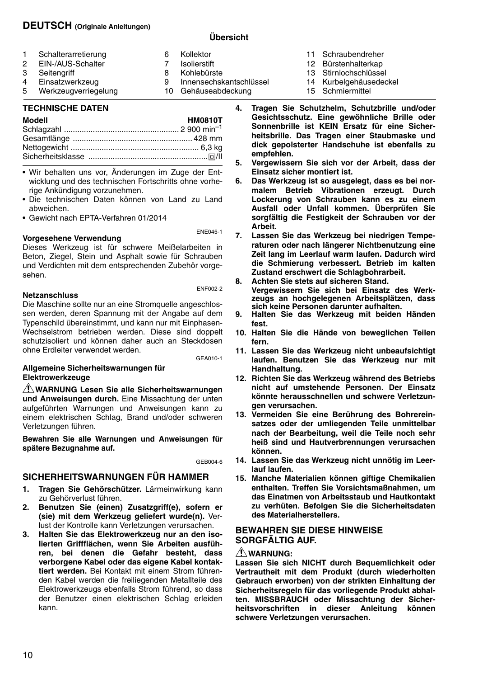#### **DEUTSCH (Originale Anleitungen)**

#### **Übersicht**

| 1<br>Schalterarretierung<br>EIN-/AUS-Schalter<br>2<br>3<br>Seitengriff<br>Einsatzwerkzeug<br>4<br>Werkzeugverriegelung<br>5 | 6<br>8<br>9 | Kollektor<br>Isolierstift<br>Kohlebürste<br>Innensechskantschlüssel<br>10 Gehäuseabdeckung |
|-----------------------------------------------------------------------------------------------------------------------------|-------------|--------------------------------------------------------------------------------------------|
|-----------------------------------------------------------------------------------------------------------------------------|-------------|--------------------------------------------------------------------------------------------|

#### **TECHNISCHE DATEN**

#### **Modell HM0810T**

- Wir behalten uns vor, Änderungen im Zuge der Entwicklung und des technischen Fortschritts ohne vorherige Ankündigung vorzunehmen.
- Die technischen Daten können von Land zu Land abweichen.

• Gewicht nach EPTA-Verfahren 01/2014

#### **Vorgesehene Verwendung**

ENE045-1

Dieses Werkzeug ist für schwere Meißelarbeiten in Beton, Ziegel, Stein und Asphalt sowie für Schrauben und Verdichten mit dem entsprechenden Zubehör vorgesehen.

#### **Netzanschluss**

ENF002-2

Die Maschine sollte nur an eine Stromquelle angeschlossen werden, deren Spannung mit der Angabe auf dem Typenschild übereinstimmt, und kann nur mit Einphasen-Wechselstrom betrieben werden. Diese sind doppelt schutzisoliert und können daher auch an Steckdosen ohne Erdleiter verwendet werden.

GEA010-1

#### **Allgemeine Sicherheitswarnungen für Elektrowerkzeuge**

**WARNUNG Lesen Sie alle Sicherheitswarnungen und Anweisungen durch.** Eine Missachtung der unten aufgeführten Warnungen und Anweisungen kann zu einem elektrischen Schlag, Brand und/oder schweren Verletzungen führen.

**Bewahren Sie alle Warnungen und Anweisungen für spätere Bezugnahme auf.**

GEB004-6

#### **SICHERHEITSWARNUNGEN FÜR HAMMER**

- **1. Tragen Sie Gehörschützer.** Lärmeinwirkung kann zu Gehörverlust führen.
- **2. Benutzen Sie (einen) Zusatzgriff(e), sofern er (sie) mit dem Werkzeug geliefert wurde(n).** Verlust der Kontrolle kann Verletzungen verursachen.
- **3. Halten Sie das Elektrowerkzeug nur an den isolierten Griffflächen, wenn Sie Arbeiten ausführen, bei denen die Gefahr besteht, dass verborgene Kabel oder das eigene Kabel kontaktiert werden.** Bei Kontakt mit einem Strom führenden Kabel werden die freiliegenden Metallteile des Elektrowerkzeugs ebenfalls Strom führend, so dass der Benutzer einen elektrischen Schlag erleiden kann.
- 11 Schraubendreher
- 12 Bürstenhalterkap
- 13 Stirnlochschlüssel
- 14 Kurbelgehäusedeckel
- 15 Schmiermittel
- **4. Tragen Sie Schutzhelm, Schutzbrille und/oder Gesichtsschutz. Eine gewöhnliche Brille oder Sonnenbrille ist KEIN Ersatz für eine Sicherheitsbrille. Das Tragen einer Staubmaske und dick gepolsterter Handschuhe ist ebenfalls zu empfehlen.**
- **5. Vergewissern Sie sich vor der Arbeit, dass der Einsatz sicher montiert ist.**
- **6. Das Werkzeug ist so ausgelegt, dass es bei normalem Betrieb Vibrationen erzeugt. Durch Lockerung von Schrauben kann es zu einem Ausfall oder Unfall kommen. Überprüfen Sie sorgfältig die Festigkeit der Schrauben vor der Arbeit.**
- **7. Lassen Sie das Werkzeug bei niedrigen Temperaturen oder nach längerer Nichtbenutzung eine Zeit lang im Leerlauf warm laufen. Dadurch wird die Schmierung verbessert. Betrieb im kalten Zustand erschwert die Schlagbohrarbeit.**

**8. Achten Sie stets auf sicheren Stand. Vergewissern Sie sich bei Einsatz des Werkzeugs an hochgelegenen Arbeitsplätzen, dass sich keine Personen darunter aufhalten.**

- **9. Halten Sie das Werkzeug mit beiden Händen fest.**
- **10. Halten Sie die Hände von beweglichen Teilen fern.**
- **11. Lassen Sie das Werkzeug nicht unbeaufsichtigt laufen. Benutzen Sie das Werkzeug nur mit Handhaltung.**
- **12. Richten Sie das Werkzeug während des Betriebs nicht auf umstehende Personen. Der Einsatz könnte herausschnellen und schwere Verletzungen verursachen.**
- **13. Vermeiden Sie eine Berührung des Bohrereinsatzes oder der umliegenden Teile unmittelbar nach der Bearbeitung, weil die Teile noch sehr heiß sind und Hautverbrennungen verursachen können.**
- **14. Lassen Sie das Werkzeug nicht unnötig im Leerlauf laufen.**
- **15. Manche Materialien können giftige Chemikalien enthalten. Treffen Sie Vorsichtsmaßnahmen, um das Einatmen von Arbeitsstaub und Hautkontakt zu verhüten. Befolgen Sie die Sicherheitsdaten des Materialherstellers.**

#### **BEWAHREN SIE DIESE HINWEISE SORGFÄLTIG AUF.**

#### **WARNUNG:**

**Lassen Sie sich NICHT durch Bequemlichkeit oder Vertrautheit mit dem Produkt (durch wiederholten Gebrauch erworben) von der strikten Einhaltung der Sicherheitsregeln für das vorliegende Produkt abhalten. MISSBRAUCH oder Missachtung der Sicherheitsvorschriften in dieser Anleitung können schwere Verletzungen verursachen.**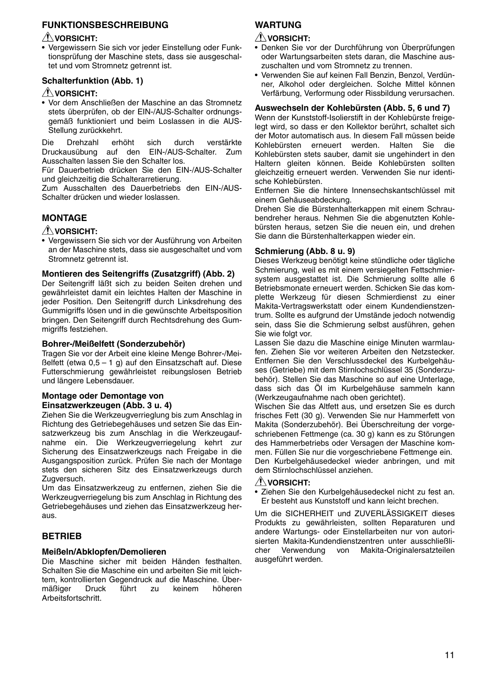#### **FUNKTIONSBESCHREIBUNG**

#### $\bigwedge$ VORSICHT:

• Vergewissern Sie sich vor jeder Einstellung oder Funktionsprüfung der Maschine stets, dass sie ausgeschaltet und vom Stromnetz getrennt ist.

#### **Schalterfunktion (Abb. 1)**

#### $\bigwedge$ VORSICHT:

• Vor dem Anschließen der Maschine an das Stromnetz stets überprüfen, ob der EIN-/AUS-Schalter ordnungsgemäß funktioniert und beim Loslassen in die AUS-Stellung zurückkehrt.

Die Drehzahl erhöht sich durch verstärkte Druckausübung auf den EIN-/AUS-Schalter. Zum Ausschalten lassen Sie den Schalter los.

Für Dauerbetrieb drücken Sie den EIN-/AUS-Schalter und gleichzeitig die Schalterarretierung.

Zum Ausschalten des Dauerbetriebs den EIN-/AUS-Schalter drücken und wieder loslassen.

#### **MONTAGE**

#### $\triangle$ VORSICHT:

• Vergewissern Sie sich vor der Ausführung von Arbeiten an der Maschine stets, dass sie ausgeschaltet und vom Stromnetz getrennt ist.

#### **Montieren des Seitengriffs (Zusatzgriff) (Abb. 2)**

Der Seitengriff läßt sich zu beiden Seiten drehen und gewährleistet damit ein leichtes Halten der Maschine in jeder Position. Den Seitengriff durch Linksdrehung des Gummigriffs lösen und in die gewünschte Arbeitsposition bringen. Den Seitengriff durch Rechtsdrehung des Gummigriffs festziehen.

#### **Bohrer-/Meißelfett (Sonderzubehör)**

Tragen Sie vor der Arbeit eine kleine Menge Bohrer-/Meißelfett (etwa 0,5 – 1 g) auf den Einsatzschaft auf. Diese Futterschmierung gewährleistet reibungslosen Betrieb und längere Lebensdauer.

#### **Montage oder Demontage von Einsatzwerkzeugen (Abb. 3 u. 4)**

Ziehen Sie die Werkzeugverrieglung bis zum Anschlag in Richtung des Getriebegehäuses und setzen Sie das Einsatzwerkzeug bis zum Anschlag in die Werkzeugaufnahme ein. Die Werkzeugverriegelung kehrt zur Sicherung des Einsatzwerkzeugs nach Freigabe in die Ausgangsposition zurück. Prüfen Sie nach der Montage stets den sicheren Sitz des Einsatzwerkzeugs durch Zugversuch.

Um das Einsatzwerkzeug zu entfernen, ziehen Sie die Werkzeugverriegelung bis zum Anschlag in Richtung des Getriebegehäuses und ziehen das Einsatzwerkzeug heraus.

#### **BETRIEB**

#### **Meißeln/Abklopfen/Demolieren**

Die Maschine sicher mit beiden Händen festhalten. Schalten Sie die Maschine ein und arbeiten Sie mit leichtem, kontrollierten Gegendruck auf die Maschine. Über-<br>mäßiger beruck führt zu keinem höheren mäßiger Druck führt zu keinem höheren Arbeitsfortschritt.

#### **WARTUNG**

#### $\bigwedge$ VORSICHT:

- Denken Sie vor der Durchführung von Überprüfungen oder Wartungsarbeiten stets daran, die Maschine auszuschalten und vom Stromnetz zu trennen.
- Verwenden Sie auf keinen Fall Benzin, Benzol, Verdünner, Alkohol oder dergleichen. Solche Mittel können Verfärbung, Verformung oder Rissbildung verursachen.

#### **Auswechseln der Kohlebürsten (Abb. 5, 6 und 7)**

Wenn der Kunststoff-Isolierstift in der Kohlebürste freigelegt wird, so dass er den Kollektor berührt, schaltet sich der Motor automatisch aus. In diesem Fall müssen beide Kohlebürsten erneuert werden. Halten Sie die Kohlebürsten stets sauber, damit sie ungehindert in den Haltern gleiten können. Beide Kohlebürsten sollten gleichzeitig erneuert werden. Verwenden Sie nur identische Kohlebürsten.

Entfernen Sie die hintere Innensechskantschlüssel mit einem Gehäuseabdeckung.

Drehen Sie die Bürstenhalterkappen mit einem Schraubendreher heraus. Nehmen Sie die abgenutzten Kohlebürsten heraus, setzen Sie die neuen ein, und drehen Sie dann die Bürstenhalterkappen wieder ein.

#### **Schmierung (Abb. 8 u. 9)**

Dieses Werkzeug benötigt keine stündliche oder tägliche Schmierung, weil es mit einem versiegelten Fettschmiersystem ausgestattet ist. Die Schmierung sollte alle 6 Betriebsmonate erneuert werden. Schicken Sie das komplette Werkzeug für diesen Schmierdienst zu einer Makita-Vertragswerkstatt oder einem Kundendienstzentrum. Sollte es aufgrund der Umstände jedoch notwendig sein, dass Sie die Schmierung selbst ausführen, gehen Sie wie folgt vor.

Lassen Sie dazu die Maschine einige Minuten warmlaufen. Ziehen Sie vor weiteren Arbeiten den Netzstecker. Entfernen Sie den Verschlussdeckel des Kurbelgehäuses (Getriebe) mit dem Stirnlochschlüssel 35 (Sonderzubehör). Stellen Sie das Maschine so auf eine Unterlage, dass sich das Öl im Kurbelgehäuse sammeln kann (Werkzeugaufnahme nach oben gerichtet).

Wischen Sie das Altfett aus, und ersetzen Sie es durch frisches Fett (30 g). Verwenden Sie nur Hammerfett von Makita (Sonderzubehör). Bei Überschreitung der vorgeschriebenen Fettmenge (ca. 30 g) kann es zu Störungen des Hammerbetriebs oder Versagen der Maschine kommen. Füllen Sie nur die vorgeschriebene Fettmenge ein. Den Kurbelgehäusedeckel wieder anbringen, und mit dem Stirnlochschlüssel anziehen.

#### $\triangle$ vorsicht:

• Ziehen Sie den Kurbelgehäusedeckel nicht zu fest an. Er besteht aus Kunststoff und kann leicht brechen.

Um die SICHERHEIT und ZUVERLÄSSIGKEIT dieses Produkts zu gewährleisten, sollten Reparaturen und andere Wartungs- oder Einstellarbeiten nur von autorisierten Makita-Kundendienstzentren unter ausschließlicher Verwendung von Makita-Originalersatzteilen ausgeführt werden.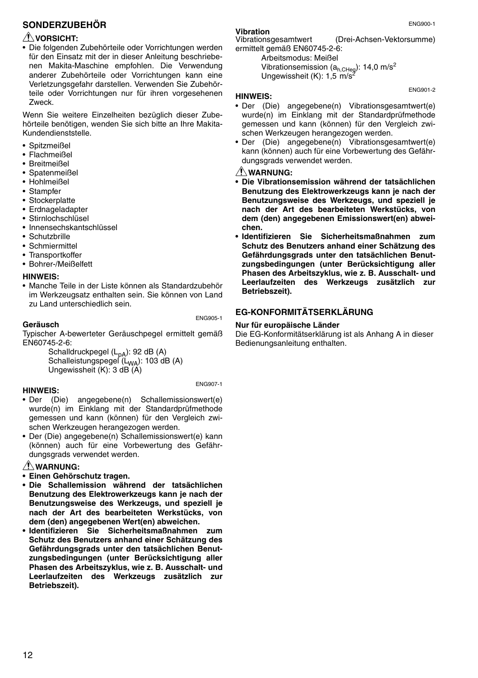#### **SONDERZUBEHÖR**

#### $\bigwedge$ VORSICHT:

• Die folgenden Zubehörteile oder Vorrichtungen werden für den Einsatz mit der in dieser Anleitung beschriebenen Makita-Maschine empfohlen. Die Verwendung anderer Zubehörteile oder Vorrichtungen kann eine Verletzungsgefahr darstellen. Verwenden Sie Zubehörteile oder Vorrichtungen nur für ihren vorgesehenen Zweck.

Wenn Sie weitere Einzelheiten bezüglich dieser Zubehörteile benötigen, wenden Sie sich bitte an Ihre Makita-Kundendienststelle.

- Spitzmeißel
- Flachmeißel
- Breitmeißel
- Spatenmeißel
- Hohlmeißel
- Stampfer
- Stockerplatte
- Erdnageladapter
- Stirnlochschlüsel
- Innensechskantschlüssel
- Schutzbrille
- Schmiermittel
- Transportkoffer
- Bohrer-/Meißelfett

#### **HINWEIS:**

• Manche Teile in der Liste können als Standardzubehör im Werkzeugsatz enthalten sein. Sie können von Land zu Land unterschiedlich sein.

#### **Geräusch**

ENG905-1

ENG907-1

Typischer A-bewerteter Geräuschpegel ermittelt gemäß EN60745-2-6:

Schalldruckpegel (L<sub>pA</sub>): 92 dB (A)<br>Schalleistungspegel (L<sub>WA</sub>): 103 dB (A) Ungewissheit (K): 3 dB (A)

#### **HINWEIS:**

- Der (Die) angegebene(n) Schallemissionswert(e) wurde(n) im Einklang mit der Standardprüfmethode gemessen und kann (können) für den Vergleich zwischen Werkzeugen herangezogen werden.
- Der (Die) angegebene(n) Schallemissionswert(e) kann (können) auch für eine Vorbewertung des Gefährdungsgrads verwendet werden.

#### **WARNUNG:**

- **Einen Gehörschutz tragen.**
- **Die Schallemission während der tatsächlichen Benutzung des Elektrowerkzeugs kann je nach der Benutzungsweise des Werkzeugs, und speziell je nach der Art des bearbeiteten Werkstücks, von dem (den) angegebenen Wert(en) abweichen.**
- **Identifizieren Sie Sicherheitsmaßnahmen zum Schutz des Benutzers anhand einer Schätzung des Gefährdungsgrads unter den tatsächlichen Benutzungsbedingungen (unter Berücksichtigung aller Phasen des Arbeitszyklus, wie z. B. Ausschalt- und Leerlaufzeiten des Werkzeugs zusätzlich zur Betriebszeit).**

**Vibration** (Drei-Achsen-Vektorsumme) ermittelt gemäß EN60745-2-6:

Arbeitsmodus: Meißel Vibrationsemission (a<sub>h,CHeg</sub>): 14,0 m/s<sup>2</sup><br>Ungewissheit (K): 1,5 m/s<sup>2</sup>

#### **HINWEIS:**

- Der (Die) angegebene(n) Vibrationsgesamtwert(e) wurde(n) im Einklang mit der Standardprüfmethode gemessen und kann (können) für den Vergleich zwischen Werkzeugen herangezogen werden.
- Der (Die) angegebene(n) Vibrationsgesamtwert(e) kann (können) auch für eine Vorbewertung des Gefährdungsgrads verwendet werden.

#### **WARNUNG:**

- **Die Vibrationsemission während der tatsächlichen Benutzung des Elektrowerkzeugs kann je nach der Benutzungsweise des Werkzeugs, und speziell je nach der Art des bearbeiteten Werkstücks, von dem (den) angegebenen Emissionswert(en) abweichen.**
- **Identifizieren Sie Sicherheitsmaßnahmen zum Schutz des Benutzers anhand einer Schätzung des Gefährdungsgrads unter den tatsächlichen Benutzungsbedingungen (unter Berücksichtigung aller Phasen des Arbeitszyklus, wie z. B. Ausschalt- und Leerlaufzeiten des Werkzeugs zusätzlich zur Betriebszeit).**

#### **EG-KONFORMITÄTSERKLÄRUNG**

#### **Nur für europäische Länder**

Die EG-Konformitätserklärung ist als Anhang A in dieser Bedienungsanleitung enthalten.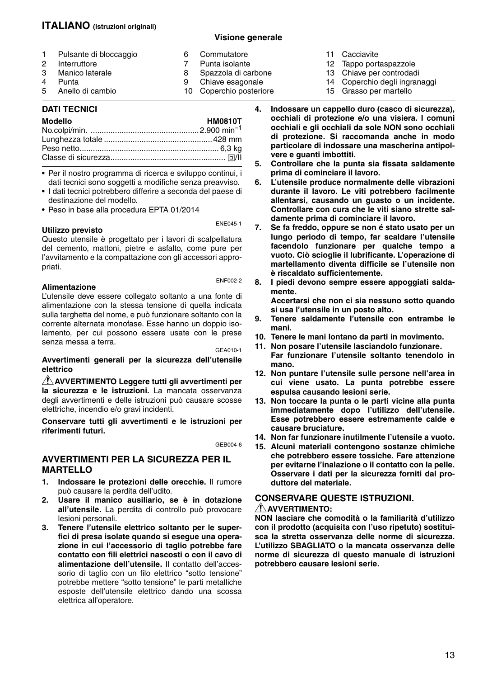#### **ITALIANO (Istruzioni originali)**

#### **Visione generale**

|   | 1 Pulsante di bloccaggio | 6 | Commutatore             |
|---|--------------------------|---|-------------------------|
| 2 | Interruttore             |   | Punta isolante          |
|   | 3 Manico laterale        | 8 | Spazzola di carbone     |
| 4 | Punta                    | 9 | Chiave esagonale        |
|   | 5 Anello di cambio       |   | 10 Coperchio posteriore |

#### **DATI TECNICI**

| <b>Modello</b> | <b>HM0810T</b> |
|----------------|----------------|
|                |                |
|                |                |
|                |                |
|                |                |
|                |                |

• Per il nostro programma di ricerca e sviluppo continui, i dati tecnici sono soggetti a modifiche senza preavviso.

- I dati tecnici potrebbero differire a seconda del paese di destinazione del modello.
- Peso in base alla procedura EPTA 01/2014

**Utilizzo previsto**

ENE045-1

Questo utensile è progettato per i lavori di scalpellatura del cemento, mattoni, pietre e asfalto, come pure per l'avvitamento e la compattazione con gli accessori appropriati.

#### **Alimentazione**

ENF002-2

L'utensile deve essere collegato soltanto a una fonte di alimentazione con la stessa tensione di quella indicata sulla targhetta del nome, e può funzionare soltanto con la corrente alternata monofase. Esse hanno un doppio isolamento, per cui possono essere usate con le prese senza messa a terra.

GEA010-1

**Avvertimenti generali per la sicurezza dell'utensile elettrico** 

**AVVERTIMENTO Leggere tutti gli avvertimenti per la sicurezza e le istruzioni.** La mancata osservanza degli avvertimenti e delle istruzioni può causare scosse elettriche, incendio e/o gravi incidenti.

**Conservare tutti gli avvertimenti e le istruzioni per riferimenti futuri.**

GEB004-6

#### **AVVERTIMENTI PER LA SICUREZZA PER IL MARTELLO**

- **1. Indossare le protezioni delle orecchie.** Il rumore può causare la perdita dell'udito.
- **2. Usare il manico ausiliario, se è in dotazione all'utensile.** La perdita di controllo può provocare lesioni personali.
- **3. Tenere l'utensile elettrico soltanto per le superfici di presa isolate quando si esegue una operazione in cui l'accessorio di taglio potrebbe fare contatto con fili elettrici nascosti o con il cavo di alimentazione dell'utensile.** Il contatto dell'accessorio di taglio con un filo elettrico "sotto tensione" potrebbe mettere "sotto tensione" le parti metalliche esposte dell'utensile elettrico dando una scossa elettrica all'operatore.
- 11 Cacciavite
- 12 Tappo portaspazzole
- 13 Chiave per controdadi
- 14 Coperchio degli ingranaggi
- 15 Grasso per martello
- **4. Indossare un cappello duro (casco di sicurezza), occhiali di protezione e/o una visiera. I comuni occhiali e gli occhiali da sole NON sono occhiali di protezione. Si raccomanda anche in modo particolare di indossare una mascherina antipolvere e guanti imbottiti.**
- **5. Controllare che la punta sia fissata saldamente prima di cominciare il lavoro.**
- **6. L'utensile produce normalmente delle vibrazioni durante il lavoro. Le viti potrebbero facilmente allentarsi, causando un guasto o un incidente. Controllare con cura che le viti siano strette saldamente prima di cominciare il lavoro.**
- **7. Se fa freddo, oppure se non é stato usato per un lungo periodo di tempo, far scaldare l'utensile facendolo funzionare per qualche tempo a vuoto. Ciò scioglie il lubrificante. L'operazione di martellamento diventa difficile se l'utensile non è riscaldato sufficientemente.**
- **8. I piedi devono sempre essere appoggiati saldamente.**

**Accertarsi che non ci sia nessuno sotto quando si usa l'utensile in un posto alto.**

- **9. Tenere saldamente l'utensile con entrambe le mani.**
- **10. Tenere le mani lontano da parti in movimento.**
- **11. Non posare l'utensile lasciandolo funzionare. Far funzionare l'utensile soltanto tenendolo in mano.**
- **12. Non puntare l'utensile sulle persone nell'area in cui viene usato. La punta potrebbe essere espulsa causando lesioni serie.**
- **13. Non toccare la punta o le parti vicine alla punta immediatamente dopo l'utilizzo dell'utensile. Esse potrebbero essere estremamente calde e causare bruciature.**
- **14. Non far funzionare inutilmente l'utensile a vuoto.**
- **15. Alcuni materiali contengono sostanze chimiche che potrebbero essere tossiche. Fare attenzione per evitarne l'inalazione o il contatto con la pelle. Osservare i dati per la sicurezza forniti dal produttore del materiale.**

#### **CONSERVARE QUESTE ISTRUZIONI.**

#### **AVVERTIMENTO:**

**NON lasciare che comodità o la familiarità d'utilizzo con il prodotto (acquisita con l'uso ripetuto) sostituisca la stretta osservanza delle norme di sicurezza. L'utilizzo SBAGLIATO o la mancata osservanza delle norme di sicurezza di questo manuale di istruzioni potrebbero causare lesioni serie.**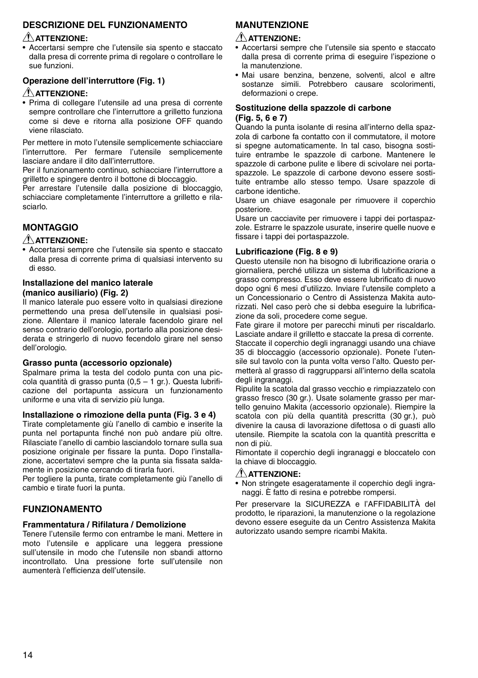#### **DESCRIZIONE DEL FUNZIONAMENTO**

#### **ATTENZIONE:**

• Accertarsi sempre che l'utensile sia spento e staccato dalla presa di corrente prima di regolare o controllare le sue funzioni.

#### **Operazione dell'interruttore (Fig. 1) ATTENZIONE:**

• Prima di collegare l'utensile ad una presa di corrente sempre controllare che l'interruttore a grilletto funziona come si deve e ritorna alla posizione OFF quando viene rilasciato.

Per mettere in moto l'utensile semplicemente schiacciare l'interruttore. Per fermare l'utensile semplicemente lasciare andare il dito dall'interruttore.

Per il funzionamento continuo, schiacciare l'interruttore a grilletto e spingere dentro il bottone di bloccaggio.

Per arrestare l'utensile dalla posizione di bloccaggio, schiacciare completamente l'interruttore a grilletto e rilasciarlo.

#### **MONTAGGIO**

#### **ATTENZIONE:**

• Accertarsi sempre che l'utensile sia spento e staccato dalla presa di corrente prima di qualsiasi intervento su di esso.

#### **Installazione del manico laterale (manico ausiliario) (Fig. 2)**

Il manico laterale puo essere volto in qualsiasi direzione permettendo una presa dell'utensile in qualsiasi posizione. Allentare il manico laterale facendolo girare nel senso contrario dell'orologio, portarlo alla posizione desiderata e stringerlo di nuovo fecendolo girare nel senso dell'orologio.

#### **Grasso punta (accessorio opzionale)**

Spalmare prima la testa del codolo punta con una piccola quantità di grasso punta  $(0,5 - 1)$  gr.). Questa lubrificazione del portapunta assicura un funzionamento uniforme e una vita di servizio più lunga.

#### **Installazione o rimozione della punta (Fig. 3 e 4)**

Tirate completamente giù l'anello di cambio e inserite la punta nel portapunta finché non può andare più oltre. Rilasciate l'anello di cambio lasciandolo tornare sulla sua posizione originale per fissare la punta. Dopo l'installazione, accertatevi sempre che la punta sia fissata saldamente in posizione cercando di tirarla fuori.

Per togliere la punta, tirate completamente giù l'anello di cambio e tirate fuori la punta.

#### **FUNZIONAMENTO**

#### **Frammentatura / Rifilatura / Demolizione**

Tenere l'utensile fermo con entrambe le mani. Mettere in moto l'utensile e applicare una leggera pressione sull'utensile in modo che l'utensile non sbandi attorno incontrollato. Una pressione forte sull'utensile non aumenterà l'efficienza dell'utensile.

#### **MANUTENZIONE**

#### **ATTENZIONE:**

- Accertarsi sempre che l'utensile sia spento e staccato dalla presa di corrente prima di eseguire l'ispezione o la manutenzione.
- Mai usare benzina, benzene, solventi, alcol e altre sostanze simili. Potrebbero causare scolorimenti, deformazioni o crepe.

#### **Sostituzione della spazzole di carbone (Fig. 5, 6 e 7)**

Quando la punta isolante di resina all'interno della spazzola di carbone fa contatto con il commutatore, il motore si spegne automaticamente. In tal caso, bisogna sostituire entrambe le spazzole di carbone. Mantenere le spazzole di carbone pulite e libere di scivolare nei portaspazzole. Le spazzole di carbone devono essere sostituite entrambe allo stesso tempo. Usare spazzole di carbone identiche.

Usare un chiave esagonale per rimuovere il coperchio posteriore.

Usare un cacciavite per rimuovere i tappi dei portaspazzole. Estrarre le spazzole usurate, inserire quelle nuove e fissare i tappi dei portaspazzole.

#### **Lubrificazione (Fig. 8 e 9)**

Questo utensile non ha bisogno di lubrificazione oraria o giornaliera, perché utilizza un sistema di lubrificazione a grasso compresso. Esso deve essere lubrificato di nuovo dopo ogni 6 mesi d'utilizzo. Inviare l'utensile completo a un Concessionario o Centro di Assistenza Makita autorizzati. Nel caso però che si debba eseguire la lubrificazione da soli, procedere come segue.

Fate girare il motore per parecchi minuti per riscaldarlo. Lasciate andare il grilletto e staccate la presa di corrente. Staccate il coperchio degli ingranaggi usando una chiave 35 di bloccaggio (accessorio opzionale). Ponete l'utensile sul tavolo con la punta volta verso l'alto. Questo permetterà al grasso di raggrupparsi all'interno della scatola degli ingranaggi.

Ripulite la scatola dal grasso vecchio e rimpiazzatelo con grasso fresco (30 gr.). Usate solamente grasso per martello genuino Makita (accessorio opzionale). Riempire la scatola con più della quantità prescritta (30 gr.), può divenire la causa di lavorazione difettosa o di guasti allo utensile. Riempite la scatola con la quantità prescritta e non di più.

Rimontate il coperchio degli ingranaggi e bloccatelo con la chiave di bloccaggio.

#### **ATTENZIONE:**

• Non stringete esageratamente il coperchio degli ingranaggi. È fatto di resina e potrebbe rompersi.

Per preservare la SICUREZZA e l'AFFIDABILITÀ del prodotto, le riparazioni, la manutenzione o la regolazione devono essere eseguite da un Centro Assistenza Makita autorizzato usando sempre ricambi Makita.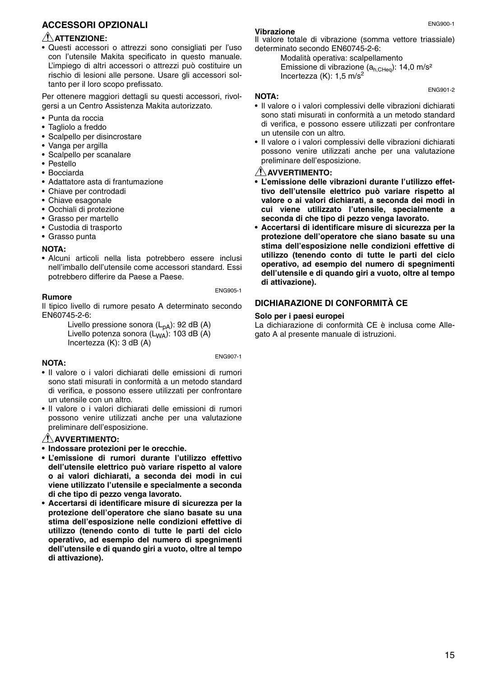#### **ACCESSORI OPZIONALI**

#### **ATTENZIONE:**

• Questi accessori o attrezzi sono consigliati per l'uso con l'utensile Makita specificato in questo manuale. L'impiego di altri accessori o attrezzi può costituire un rischio di lesioni alle persone. Usare gli accessori soltanto per il loro scopo prefissato.

Per ottenere maggiori dettagli su questi accessori, rivolgersi a un Centro Assistenza Makita autorizzato.

- Punta da roccia
- Tagliolo a freddo
- Scalpello per disincrostare
- Vanga per argilla
- Scalpello per scanalare
- Pestello
- Bocciarda
- Adattatore asta di frantumazione
- Chiave per controdadi
- Chiave esagonale
- Occhiali di protezione
- Grasso per martello
- Custodia di trasporto
- Grasso punta

#### **NOTA:**

• Alcuni articoli nella lista potrebbero essere inclusi nell'imballo dell'utensile come accessori standard. Essi potrebbero differire da Paese a Paese.

#### **Rumore**

ENG905-1

Il tipico livello di rumore pesato A determinato secondo EN60745-2-6:

Livello pressione sonora  $(L_{pA})$ : 92 dB (A) Livello potenza sonora  $(L_{WA})$ : 103 dB (A) Incertezza (K): 3 dB (A)

ENG907-1

#### **NOTA:**

- Il valore o i valori dichiarati delle emissioni di rumori sono stati misurati in conformità a un metodo standard di verifica, e possono essere utilizzati per confrontare un utensile con un altro.
- Il valore o i valori dichiarati delle emissioni di rumori possono venire utilizzati anche per una valutazione preliminare dell'esposizione.

#### **AVVERTIMENTO:**

**• Indossare protezioni per le orecchie.**

- **L'emissione di rumori durante l'utilizzo effettivo dell'utensile elettrico può variare rispetto al valore o ai valori dichiarati, a seconda dei modi in cui viene utilizzato l'utensile e specialmente a seconda di che tipo di pezzo venga lavorato.**
- **Accertarsi di identificare misure di sicurezza per la protezione dell'operatore che siano basate su una stima dell'esposizione nelle condizioni effettive di utilizzo (tenendo conto di tutte le parti del ciclo operativo, ad esempio del numero di spegnimenti dell'utensile e di quando giri a vuoto, oltre al tempo di attivazione).**

#### **Vibrazione**

Il valore totale di vibrazione (somma vettore triassiale) determinato secondo EN60745-2-6:

Modalità operativa: scalpellamento Emissione di vibrazione  $(a_{h,CHeq})$ : 14,0 m/s<sup>2</sup> Incertezza (K):  $1.5$  m/s<sup>2</sup>

#### **NOTA:**

- Il valore o i valori complessivi delle vibrazioni dichiarati sono stati misurati in conformità a un metodo standard di verifica, e possono essere utilizzati per confrontare un utensile con un altro.
- Il valore o i valori complessivi delle vibrazioni dichiarati possono venire utilizzati anche per una valutazione preliminare dell'esposizione.

#### **AVVERTIMENTO:**

- **L'emissione delle vibrazioni durante l'utilizzo effettivo dell'utensile elettrico può variare rispetto al valore o ai valori dichiarati, a seconda dei modi in cui viene utilizzato l'utensile, specialmente a seconda di che tipo di pezzo venga lavorato.**
- **Accertarsi di identificare misure di sicurezza per la protezione dell'operatore che siano basate su una stima dell'esposizione nelle condizioni effettive di utilizzo (tenendo conto di tutte le parti del ciclo operativo, ad esempio del numero di spegnimenti dell'utensile e di quando giri a vuoto, oltre al tempo di attivazione).**

#### **DICHIARAZIONE DI CONFORMITÀ CE**

#### **Solo per i paesi europei**

La dichiarazione di conformità CE è inclusa come Allegato A al presente manuale di istruzioni.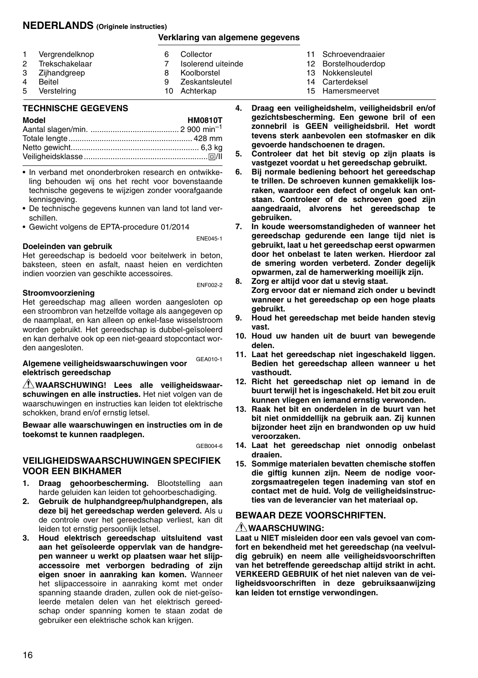#### **NEDERLANDS (Originele instructies)**

#### **Verklaring van algemene gegevens**

| $\mathbf{1}$ | Vergrendelknop | 6 | Collector          |
|--------------|----------------|---|--------------------|
| 2            | Trekschakelaar |   | Isolerend uiteinde |
|              | 3 Zijhandgreep | 8 | Koolborstel        |
| $\Delta$     | Beitel         | q | Zeskantsleutel     |
| 5            | Verstelring    |   | 10 Achterkap       |

#### 11 Schroevendraaier

- 12 Borstelhouderdop
- 13 Nokkensleutel
- 14 Carterdeksel
- 15 Hamersmeervet

#### **TECHNISCHE GEGEVENS**

| Model | <b>HM0810T</b> |
|-------|----------------|
|       |                |
|       |                |
|       |                |
|       |                |

- In verband met ononderbroken research en ontwikkeling behouden wij ons het recht voor bovenstaande technische gegevens te wijzigen zonder voorafgaande kennisgeving.
- De technische gegevens kunnen van land tot land verschillen.
- Gewicht volgens de EPTA-procedure 01/2014

#### **Doeleinden van gebruik**

Het gereedschap is bedoeld voor beitelwerk in beton, baksteen, steen en asfalt, naast heien en verdichten indien voorzien van geschikte accessoires.

#### **Stroomvoorziening**

ENF002-2

ENE045-1

Het gereedschap mag alleen worden aangesloten op een stroombron van hetzelfde voltage als aangegeven op de naamplaat, en kan alleen op enkel-fase wisselstroom worden gebruikt. Het gereedschap is dubbel-geïsoleerd en kan derhalve ook op een niet-geaard stopcontact worden aangesloten.

#### GEA010-1 **Algemene veiligheidswaarschuwingen voor elektrisch gereedschap**

**WAARSCHUWING! Lees alle veiligheidswaarschuwingen en alle instructies.** Het niet volgen van de waarschuwingen en instructies kan leiden tot elektrische schokken, brand en/of ernstig letsel.

**Bewaar alle waarschuwingen en instructies om in de toekomst te kunnen raadplegen.**

GEB004-6

#### **VEILIGHEIDSWAARSCHUWINGEN SPECIFIEK VOOR EEN BIKHAMER**

- **1. Draag gehoorbescherming.** Blootstelling aan harde geluiden kan leiden tot gehoorbeschadiging.
- **2. Gebruik de hulphandgreep/hulphandgrepen, als deze bij het gereedschap werden geleverd.** Als u de controle over het gereedschap verliest, kan dit leiden tot ernstig persoonlijk letsel.
- **3. Houd elektrisch gereedschap uitsluitend vast aan het geïsoleerde oppervlak van de handgrepen wanneer u werkt op plaatsen waar het slijpaccessoire met verborgen bedrading of zijn eigen snoer in aanraking kan komen.** Wanneer het slijpaccessoire in aanraking komt met onder spanning staande draden, zullen ook de niet-geïsoleerde metalen delen van het elektrisch gereedschap onder spanning komen te staan zodat de gebruiker een elektrische schok kan krijgen.
- **4. Draag een veiligheidshelm, veiligheidsbril en/of gezichtsbescherming. Een gewone bril of een zonnebril is GEEN veiligheidsbril. Het wordt tevens sterk aanbevolen een stofmasker en dik gevoerde handschoenen te dragen.**
- **5. Controleer dat het bit stevig op zijn plaats is vastgezet voordat u het gereedschap gebruikt.**
- **6. Bij normale bediening behoort het gereedschap te trillen. De schroeven kunnen gemakkelijk losraken, waardoor een defect of ongeluk kan ontstaan. Controleer of de schroeven goed zijn aangedraaid, alvorens het gereedschap te gebruiken.**
- **7. In koude weersomstandigheden of wanneer het gereedschap gedurende een lange tijd niet is gebruikt, laat u het gereedschap eerst opwarmen door het onbelast te laten werken. Hierdoor zal de smering worden verbeterd. Zonder degelijk opwarmen, zal de hamerwerking moeilijk zijn.**
- **8. Zorg er altijd voor dat u stevig staat. Zorg ervoor dat er niemand zich onder u bevindt wanneer u het gereedschap op een hoge plaats gebruikt.**
- **9. Houd het gereedschap met beide handen stevig vast.**
- **10. Houd uw handen uit de buurt van bewegende delen.**
- **11. Laat het gereedschap niet ingeschakeld liggen. Bedien het gereedschap alleen wanneer u het vasthoudt.**
- **12. Richt het gereedschap niet op iemand in de buurt terwijl het is ingeschakeld. Het bit zou eruit kunnen vliegen en iemand ernstig verwonden.**
- **13. Raak het bit en onderdelen in de buurt van het bit niet onmiddellijk na gebruik aan. Zij kunnen bijzonder heet zijn en brandwonden op uw huid veroorzaken.**
- **14. Laat het gereedschap niet onnodig onbelast draaien.**
- **15. Sommige materialen bevatten chemische stoffen die giftig kunnen zijn. Neem de nodige voorzorgsmaatregelen tegen inademing van stof en contact met de huid. Volg de veiligheidsinstructies van de leverancier van het materiaal op.**

#### **BEWAAR DEZE VOORSCHRIFTEN.**

#### **WAARSCHUWING:**

**Laat u NIET misleiden door een vals gevoel van comfort en bekendheid met het gereedschap (na veelvuldig gebruik) en neem alle veiligheidsvoorschriften van het betreffende gereedschap altijd strikt in acht. VERKEERD GEBRUIK of het niet naleven van de veiligheidsvoorschriften in deze gebruiksaanwijzing kan leiden tot ernstige verwondingen.**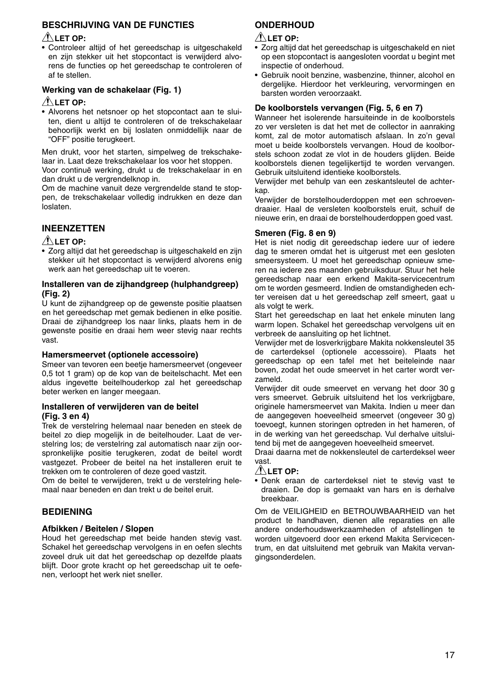#### **BESCHRIJVING VAN DE FUNCTIES**

#### **LET OP:**

• Controleer altijd of het gereedschap is uitgeschakeld en zijn stekker uit het stopcontact is verwijderd alvorens de functies op het gereedschap te controleren of af te stellen.

#### **Werking van de schakelaar (Fig. 1)**

#### **LET OP:**

• Alvorens het netsnoer op het stopcontact aan te sluiten, dient u altijd te controleren of de trekschakelaar behoorlijk werkt en bij loslaten onmiddellijk naar de "OFF" positie terugkeert.

Men drukt, voor het starten, simpelweg de trekschakelaar in. Laat deze trekschakelaar los voor het stoppen.

Voor continuë werking, drukt u de trekschakelaar in en dan drukt u de vergrendelknop in.

Om de machine vanuit deze vergrendelde stand te stoppen, de trekschakelaar volledig indrukken en deze dan loslaten.

#### **INEENZETTEN**

#### **LET OP:**

• Zorg altijd dat het gereedschap is uitgeschakeld en zijn stekker uit het stopcontact is verwijderd alvorens enig werk aan het gereedschap uit te voeren.

#### **Installeren van de zijhandgreep (hulphandgreep) (Fig. 2)**

U kunt de zijhandgreep op de gewenste positie plaatsen en het gereedschap met gemak bedienen in elke positie. Draai de zijhandgreep los naar links, plaats hem in de gewenste positie en draai hem weer stevig naar rechts vast.

#### **Hamersmeervet (optionele accessoire)**

Smeer van tevoren een beetje hamersmeervet (ongeveer 0,5 tot 1 gram) op de kop van de beitelschacht. Met een aldus ingevette beitelhouderkop zal het gereedschap beter werken en langer meegaan.

#### **Installeren of verwijderen van de beitel (Fig. 3 en 4)**

Trek de verstelring helemaal naar beneden en steek de beitel zo diep mogelijk in de beitelhouder. Laat de verstelring los; de verstelring zal automatisch naar zijn oorspronkelijke positie terugkeren, zodat de beitel wordt vastgezet. Probeer de beitel na het installeren eruit te trekken om te controleren of deze goed vastzit.

Om de beitel te verwijderen, trekt u de verstelring helemaal naar beneden en dan trekt u de beitel eruit.

#### **BEDIENING**

#### **Afbikken / Beitelen / Slopen**

Houd het gereedschap met beide handen stevig vast. Schakel het gereedschap vervolgens in en oefen slechts zoveel druk uit dat het gereedschap op dezelfde plaats blijft. Door grote kracht op het gereedschap uit te oefenen, verloopt het werk niet sneller.

#### **ONDERHOUD**

#### **LET OP:**

- Zorg altijd dat het gereedschap is uitgeschakeld en niet op een stopcontact is aangesloten voordat u begint met inspectie of onderhoud.
- Gebruik nooit benzine, wasbenzine, thinner, alcohol en dergelijke. Hierdoor het verkleuring, vervormingen en barsten worden veroorzaakt.

#### **De koolborstels vervangen (Fig. 5, 6 en 7)**

Wanneer het isolerende harsuiteinde in de koolborstels zo ver versleten is dat het met de collector in aanraking komt, zal de motor automatisch afslaan. In zo'n geval moet u beide koolborstels vervangen. Houd de koolborstels schoon zodat ze vlot in de houders glijden. Beide koolborstels dienen tegelijkertijd te worden vervangen. Gebruik uitsluitend identieke koolborstels.

Verwijder met behulp van een zeskantsleutel de achterkap.

Verwijder de borstelhouderdoppen met een schroevendraaier. Haal de versleten koolborstels eruit, schuif de nieuwe erin, en draai de borstelhouderdoppen goed vast.

#### **Smeren (Fig. 8 en 9)**

Het is niet nodig dit gereedschap iedere uur of iedere dag te smeren omdat het is uitgerust met een gesloten smeersysteem. U moet het gereedschap opnieuw smeren na iedere zes maanden gebruiksduur. Stuur het hele gereedschap naar een erkend Makita-servicecentrum om te worden gesmeerd. Indien de omstandigheden echter vereisen dat u het gereedschap zelf smeert, gaat u als volgt te werk.

Start het gereedschap en laat het enkele minuten lang warm lopen. Schakel het gereedschap vervolgens uit en verbreek de aansluiting op het lichtnet.

Verwijder met de losverkrijgbare Makita nokkensleutel 35 de carterdeksel (optionele accessoire). Plaats het gereedschap op een tafel met het beiteleinde naar boven, zodat het oude smeervet in het carter wordt verzameld.

Verwijder dit oude smeervet en vervang het door 30 g vers smeervet. Gebruik uitsluitend het los verkrijgbare, originele hamersmeervet van Makita. Indien u meer dan de aangegeven hoeveelheid smeervet (ongeveer 30 g) toevoegt, kunnen storingen optreden in het hameren, of in de werking van het gereedschap. Vul derhalve uitsluitend bij met de aangegeven hoeveelheid smeervet.

Draai daarna met de nokkensleutel de carterdeksel weer vast.

#### **LET OP:**

• Denk eraan de carterdeksel niet te stevig vast te draaien. De dop is gemaakt van hars en is derhalve breekbaar.

Om de VEILIGHEID en BETROUWBAARHEID van het product te handhaven, dienen alle reparaties en alle andere onderhoudswerkzaamheden of afstellingen te worden uitgevoerd door een erkend Makita Servicecentrum, en dat uitsluitend met gebruik van Makita vervangingsonderdelen.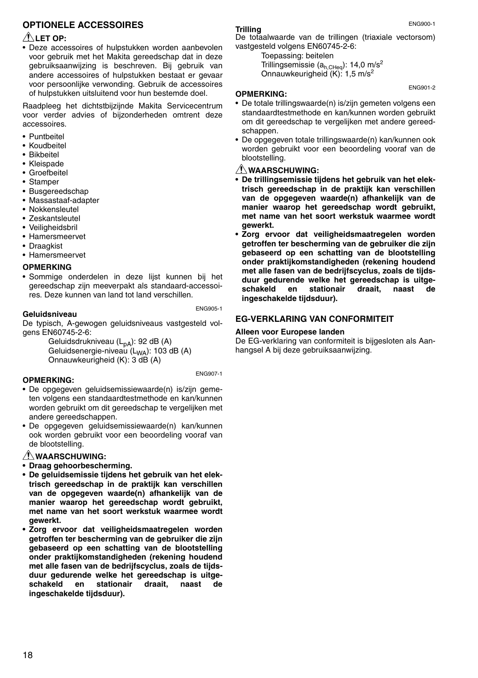#### **OPTIONELE ACCESSOIRES**

#### **LET OP:**

• Deze accessoires of hulpstukken worden aanbevolen voor gebruik met het Makita gereedschap dat in deze gebruiksaanwijzing is beschreven. Bij gebruik van andere accessoires of hulpstukken bestaat er gevaar voor persoonlijke verwonding. Gebruik de accessoires of hulpstukken uitsluitend voor hun bestemde doel.

Raadpleeg het dichtstbijzijnde Makita Servicecentrum voor verder advies of bijzonderheden omtrent deze accessoires.

- Puntbeitel
- Koudbeitel
- Bikbeitel
- Kleispade
- Groefbeitel
- Stamper
- Busgereedschap
- Massastaaf-adapter
- Nokkensleutel
- Zeskantsleutel
- Veiligheidsbril
- Hamersmeervet
- Draagkist
- Hamersmeervet

#### **OPMERKING**

• Sommige onderdelen in deze lijst kunnen bij het gereedschap zijn meeverpakt als standaard-accessoires. Deze kunnen van land tot land verschillen.

ENG905-1

#### **Geluidsniveau**

De typisch, A-gewogen geluidsniveaus vastgesteld volgens EN60745-2-6:

Geluidsdrukniveau (L<sub>nA</sub>): 92 dB (A) Geluidsenergie-niveau (L<sub>WA</sub>): 103 dB (A) Onnauwkeurigheid (K): 3 dB (A)

ENG907-1

#### **OPMERKING:**

- De opgegeven geluidsemissiewaarde(n) is/zijn gemeten volgens een standaardtestmethode en kan/kunnen worden gebruikt om dit gereedschap te vergelijken met andere gereedschappen.
- De opgegeven geluidsemissiewaarde(n) kan/kunnen ook worden gebruikt voor een beoordeling vooraf van de blootstelling.

#### **WAARSCHUWING:**

- **Draag gehoorbescherming.**
- **De geluidsemissie tijdens het gebruik van het elektrisch gereedschap in de praktijk kan verschillen van de opgegeven waarde(n) afhankelijk van de manier waarop het gereedschap wordt gebruikt, met name van het soort werkstuk waarmee wordt gewerkt.**
- **Zorg ervoor dat veiligheidsmaatregelen worden getroffen ter bescherming van de gebruiker die zijn gebaseerd op een schatting van de blootstelling onder praktijkomstandigheden (rekening houdend met alle fasen van de bedrijfscyclus, zoals de tijdsduur gedurende welke het gereedschap is uitgeschakeld en stationair draait, naast de ingeschakelde tijdsduur).**

#### **Trilling**

De totaalwaarde van de trillingen (triaxiale vectorsom) vastgesteld volgens EN60745-2-6:

Toepassing: beitelen Trillingsemissie ( $a_{h,CHea}$ ): 14,0 m/s<sup>2</sup> Onnauwkeurigheid (K): 1,5 m/s<sup>2</sup>

#### **OPMERKING:**

- De totale trillingswaarde(n) is/zijn gemeten volgens een standaardtestmethode en kan/kunnen worden gebruikt om dit gereedschap te vergelijken met andere gereedschappen.
- De opgegeven totale trillingswaarde(n) kan/kunnen ook worden gebruikt voor een beoordeling vooraf van de blootstelling.

#### **WAARSCHUWING:**

- **De trillingsemissie tijdens het gebruik van het elektrisch gereedschap in de praktijk kan verschillen van de opgegeven waarde(n) afhankelijk van de manier waarop het gereedschap wordt gebruikt, met name van het soort werkstuk waarmee wordt gewerkt.**
- **Zorg ervoor dat veiligheidsmaatregelen worden getroffen ter bescherming van de gebruiker die zijn gebaseerd op een schatting van de blootstelling onder praktijkomstandigheden (rekening houdend met alle fasen van de bedrijfscyclus, zoals de tijdsduur gedurende welke het gereedschap is uitge**schakeld en stationair draait, naast **ingeschakelde tijdsduur).**

#### **EG-VERKLARING VAN CONFORMITEIT**

#### **Alleen voor Europese landen**

De EG-verklaring van conformiteit is bijgesloten als Aanhangsel A bij deze gebruiksaanwijzing.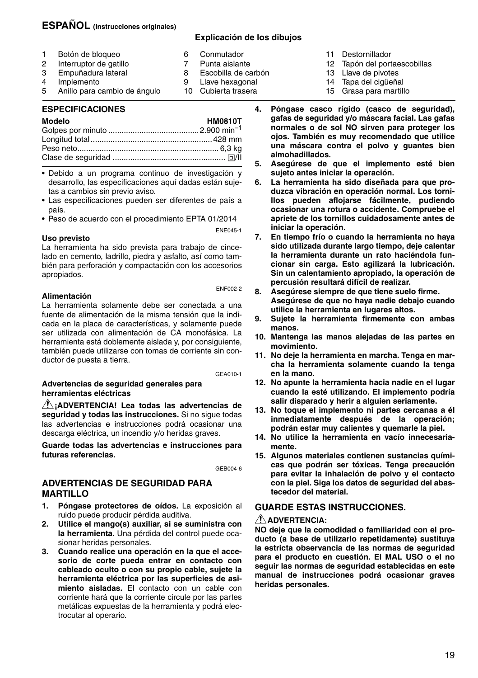#### **ESPAÑOL (Instrucciones originales)**

#### **Explicación de los dibujos**

8 Escobilla de carbón<br>9 Llave bexagonal Llave hexagonal 10 Cubierta trasera

- 1 Botón de bloqueo<br>2 Interruptor de gati 6 Conmutador<br>7 Punta aislant 7 Punta aislante<br>8 Escobilla de ca
- 2 Interruptor de gatillo<br>3 Empuñadura lateral 3 Empuñadura lateral
- 
- 4 Implemento<br>5 Anillo para d 5 Anillo para cambio de ángulo

#### **ESPECIFICACIONES**

| Modelo | <b>HM0810T</b> |
|--------|----------------|
|        |                |
|        |                |
|        |                |
|        |                |

- Debido a un programa continuo de investigación y desarrollo, las especificaciones aquí dadas están sujetas a cambios sin previo aviso.
- Las especificaciones pueden ser diferentes de país a país.
- Peso de acuerdo con el procedimiento EPTA 01/2014

ENE045-1

#### **Uso previsto**

La herramienta ha sido prevista para trabajo de cincelado en cemento, ladrillo, piedra y asfalto, así como también para perforación y compactación con los accesorios apropiados.

#### **Alimentación**

ENF002-2

La herramienta solamente debe ser conectada a una fuente de alimentación de la misma tensión que la indicada en la placa de características, y solamente puede ser utilizada con alimentación de CA monofásica. La herramienta está doblemente aislada y, por consiguiente, también puede utilizarse con tomas de corriente sin conductor de puesta a tierra.

#### GEA010-1

#### **Advertencias de seguridad generales para herramientas eléctricas**

**¡ADVERTENCIA! Lea todas las advertencias de seguridad y todas las instrucciones.** Si no sigue todas las advertencias e instrucciones podrá ocasionar una descarga eléctrica, un incendio y/o heridas graves.

**Guarde todas las advertencias e instrucciones para futuras referencias.**

GEB004-6

#### **ADVERTENCIAS DE SEGURIDAD PARA MARTILLO**

- **1. Póngase protectores de oídos.** La exposición al ruido puede producir pérdida auditiva.
- **2. Utilice el mango(s) auxiliar, si se suministra con la herramienta.** Una pérdida del control puede ocasionar heridas personales.
- **3. Cuando realice una operación en la que el accesorio de corte pueda entrar en contacto con cableado oculto o con su propio cable, sujete la herramienta eléctrica por las superficies de asimiento aisladas.** El contacto con un cable con corriente hará que la corriente circule por las partes metálicas expuestas de la herramienta y podrá electrocutar al operario.
- 11 Destornillador
- 12 Tapón del portaescobillas
- 13 Llave de pivotes<br>14 Tapa del cigüeña
- Tapa del cigüeñal
- 15 Grasa para martillo
- **4. Póngase casco rígido (casco de seguridad), gafas de seguridad y/o máscara facial. Las gafas normales o de sol NO sirven para proteger los ojos. También es muy recomendado que utilice una máscara contra el polvo y guantes bien almohadillados.**
- **5. Asegúrese de que el implemento esté bien sujeto antes iniciar la operación.**
- **6. La herramienta ha sido diseñada para que produzca vibración en operación normal. Los tornillos pueden aflojarse fácilmente, pudiendo ocasionar una rotura o accidente. Compruebe el apriete de los tornillos cuidadosamente antes de iniciar la operación.**
- **7. En tiempo frío o cuando la herramienta no haya sido utilizada durante largo tiempo, deje calentar la herramienta durante un rato haciéndola funcionar sin carga. Esto agilizará la lubricación. Sin un calentamiento apropiado, la operación de percusión resultará difícil de realizar.**
- **8. Asegúrese siempre de que tiene suelo firme. Asegúrese de que no haya nadie debajo cuando utilice la herramienta en lugares altos.**
- **9. Sujete la herramienta firmemente con ambas manos.**
- **10. Mantenga las manos alejadas de las partes en movimiento.**
- **11. No deje la herramienta en marcha. Tenga en marcha la herramienta solamente cuando la tenga en la mano.**
- **12. No apunte la herramienta hacia nadie en el lugar cuando la esté utilizando. El implemento podría salir disparado y herir a alguien seriamente.**
- **13. No toque el implemento ni partes cercanas a él inmediatamente después de la operación; podrán estar muy calientes y quemarle la piel.**
- **14. No utilice la herramienta en vacío innecesariamente.**
- **15. Algunos materiales contienen sustancias químicas que podrán ser tóxicas. Tenga precaución para evitar la inhalación de polvo y el contacto con la piel. Siga los datos de seguridad del abastecedor del material.**

#### **GUARDE ESTAS INSTRUCCIONES.**

#### **ADVERTENCIA:**

**NO deje que la comodidad o familiaridad con el producto (a base de utilizarlo repetidamente) sustituya la estricta observancia de las normas de seguridad para el producto en cuestión. El MAL USO o el no seguir las normas de seguridad establecidas en este manual de instrucciones podrá ocasionar graves heridas personales.**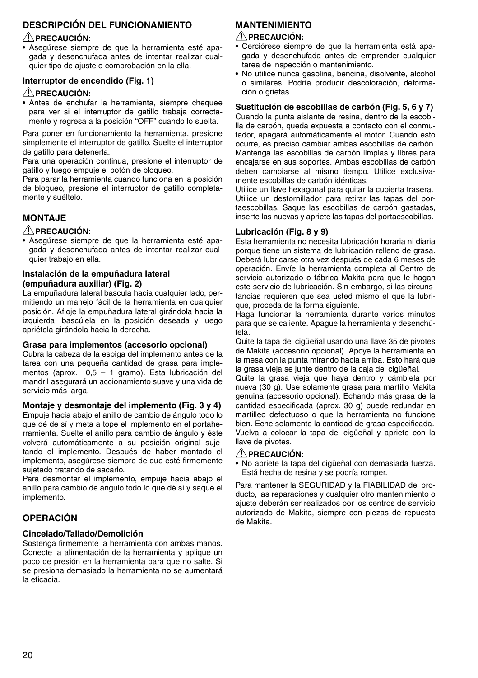#### **DESCRIPCIÓN DEL FUNCIONAMIENTO**

#### **PRECAUCIÓN:**

• Asegúrese siempre de que la herramienta esté apagada y desenchufada antes de intentar realizar cualquier tipo de ajuste o comprobación en la ella.

#### **Interruptor de encendido (Fig. 1)**

#### **PRECAUCIÓN:**

• Antes de enchufar la herramienta, siempre chequee para ver si el interruptor de gatillo trabaja correctamente y regresa a la posición "OFF" cuando lo suelta.

Para poner en funcionamiento la herramienta, presione simplemente el interruptor de gatillo. Suelte el interruptor de gatillo para detenerla.

Para una operación continua, presione el interruptor de gatillo y luego empuje el botón de bloqueo.

Para parar la herramienta cuando funciona en la posición de bloqueo, presione el interruptor de gatillo completamente y suéltelo.

#### **MONTAJE**

#### **PRECAUCIÓN:**

• Asegúrese siempre de que la herramienta esté apagada y desenchufada antes de intentar realizar cualquier trabajo en ella.

#### **Instalación de la empuñadura lateral (empuñadura auxiliar) (Fig. 2)**

La empuñadura lateral bascula hacia cualquier lado, permitiendo un manejo fácil de la herramienta en cualquier posición. Afloje la empuñadura lateral girándola hacia la izquierda, bascúlela en la posición deseada y luego apriétela girándola hacia la derecha.

#### **Grasa para implementos (accesorio opcional)**

Cubra la cabeza de la espiga del implemento antes de la tarea con una pequeña cantidad de grasa para implementos (aprox. 0,5 – 1 gramo). Esta lubricación del mandril asegurará un accionamiento suave y una vida de servicio más larga.

**Montaje y desmontaje del implemento (Fig. 3 y 4)** Empuje hacia abajo el anillo de cambio de ángulo todo lo que dé de sí y meta a tope el implemento en el portaherramienta. Suelte el anillo para cambio de ángulo y éste volverá automáticamente a su posición original sujetando el implemento. Después de haber montado el implemento, asegúrese siempre de que esté firmemente sujetado tratando de sacarlo.

Para desmontar el implemento, empuje hacia abajo el anillo para cambio de ángulo todo lo que dé sí y saque el implemento.

#### **OPERACIÓN**

#### **Cincelado/Tallado/Demolición**

Sostenga firmemente la herramienta con ambas manos. Conecte la alimentación de la herramienta y aplique un poco de presión en la herramienta para que no salte. Si se presiona demasiado la herramienta no se aumentará la eficacia.

### **MANTENIMIENTO**

#### **PRECAUCIÓN:**

- Cerciórese siempre de que la herramienta está apagada y desenchufada antes de emprender cualquier tarea de inspección o mantenimiento.
- No utilice nunca gasolina, bencina, disolvente, alcohol o similares. Podría producir descoloración, deformación o grietas.

#### **Sustitución de escobillas de carbón (Fig. 5, 6 y 7)**

Cuando la punta aislante de resina, dentro de la escobilla de carbón, queda expuesta a contacto con el conmutador, apagará automáticamente el motor. Cuando esto ocurre, es preciso cambiar ambas escobillas de carbón. Mantenga las escobillas de carbón limpias y libres para encajarse en sus soportes. Ambas escobillas de carbón deben cambiarse al mismo tiempo. Utilice exclusivamente escobillas de carbón idénticas.

Utilice un llave hexagonal para quitar la cubierta trasera. Utilice un destornillador para retirar las tapas del portaescobillas. Saque las escobillas de carbón gastadas, inserte las nuevas y apriete las tapas del portaescobillas.

#### **Lubricación (Fig. 8 y 9)**

Esta herramienta no necesita lubricación horaria ni diaria porque tiene un sistema de lubricación relleno de grasa. Deberá lubricarse otra vez después de cada 6 meses de operación. Envíe la herramienta completa al Centro de servicio autorizado o fábrica Makita para que le hagan este servicio de lubricación. Sin embargo, si las circunstancias requieren que sea usted mismo el que la lubrique, proceda de la forma siguiente.

Haga funcionar la herramienta durante varios minutos para que se caliente. Apague la herramienta y desenchúfela.

Quite la tapa del cigüeñal usando una llave 35 de pivotes de Makita (accesorio opcional). Apoye la herramienta en la mesa con la punta mirando hacia arriba. Esto hará que la grasa vieja se junte dentro de la caja del cigüeñal.

Quite la grasa vieja que haya dentro y cámbiela por nueva (30 g). Use solamente grasa para martillo Makita genuina (accesorio opcional). Echando más grasa de la cantidad especificada (aprox. 30 g) puede redundar en martilleo defectuoso o que la herramienta no funcione bien. Eche solamente la cantidad de grasa especificada. Vuelva a colocar la tapa del cigüeñal y apriete con la llave de pivotes.

#### **PRECAUCIÓN:**

• No apriete la tapa del cigüeñal con demasiada fuerza. Está hecha de resina y se podría romper.

Para mantener la SEGURIDAD y la FIABILIDAD del producto, las reparaciones y cualquier otro mantenimiento o ajuste deberán ser realizados por los centros de servicio autorizado de Makita, siempre con piezas de repuesto de Makita.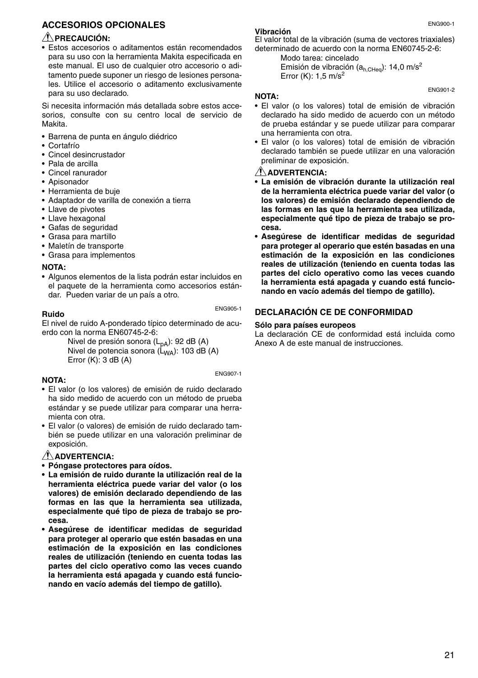#### **ACCESORIOS OPCIONALES**

#### **PRECAUCIÓN:**

• Estos accesorios o aditamentos están recomendados para su uso con la herramienta Makita especificada en este manual. El uso de cualquier otro accesorio o aditamento puede suponer un riesgo de lesiones personales. Utilice el accesorio o aditamento exclusivamente para su uso declarado.

Si necesita información más detallada sobre estos accesorios, consulte con su centro local de servicio de Makita.

- Barrena de punta en ángulo diédrico
- Cortafrío
- Cincel desincrustador
- Pala de arcilla
- Cincel ranurador
- Apisonador
- Herramienta de buje
- Adaptador de varilla de conexión a tierra
- Llave de pivotes
- Llave hexagonal
- Gafas de seguridad
- Grasa para martillo
- Maletín de transporte
- Grasa para implementos

#### **NOTA:**

• Algunos elementos de la lista podrán estar incluidos en el paquete de la herramienta como accesorios estándar. Pueden variar de un país a otro.

#### ENG905-1

**Ruido**

El nivel de ruido A-ponderado típico determinado de acuerdo con la norma EN60745-2-6:

Nivel de presión sonora  $(L_{pA})$ : 92 dB (A) Nivel de potencia sonora  $(L_{WA})$ : 103 dB (A) Error (K): 3 dB (A)

ENG907-1

#### **NOTA:**

- El valor (o los valores) de emisión de ruido declarado ha sido medido de acuerdo con un método de prueba estándar y se puede utilizar para comparar una herramienta con otra.
- El valor (o valores) de emisión de ruido declarado también se puede utilizar en una valoración preliminar de exposición.

#### **ADVERTENCIA:**

- **Póngase protectores para oídos.**
- **La emisión de ruido durante la utilización real de la herramienta eléctrica puede variar del valor (o los valores) de emisión declarado dependiendo de las formas en las que la herramienta sea utilizada, especialmente qué tipo de pieza de trabajo se procesa.**
- **Asegúrese de identificar medidas de seguridad para proteger al operario que estén basadas en una estimación de la exposición en las condiciones reales de utilización (teniendo en cuenta todas las partes del ciclo operativo como las veces cuando la herramienta está apagada y cuando está funcionando en vacío además del tiempo de gatillo).**

#### **Vibración**

El valor total de la vibración (suma de vectores triaxiales) determinado de acuerdo con la norma EN60745-2-6:

Modo tarea: cincelado Emisión de vibración ( $a_{h,CHen}$ ): 14,0 m/s<sup>2</sup> Error  $(K)$ : 1.5 m/s<sup>2</sup>

#### **NOTA:**

- El valor (o los valores) total de emisión de vibración declarado ha sido medido de acuerdo con un método de prueba estándar y se puede utilizar para comparar una herramienta con otra.
- El valor (o los valores) total de emisión de vibración declarado también se puede utilizar en una valoración preliminar de exposición.

#### **ADVERTENCIA:**

- **La emisión de vibración durante la utilización real de la herramienta eléctrica puede variar del valor (o los valores) de emisión declarado dependiendo de las formas en las que la herramienta sea utilizada, especialmente qué tipo de pieza de trabajo se procesa.**
- **Asegúrese de identificar medidas de seguridad para proteger al operario que estén basadas en una estimación de la exposición en las condiciones reales de utilización (teniendo en cuenta todas las partes del ciclo operativo como las veces cuando la herramienta está apagada y cuando está funcionando en vacío además del tiempo de gatillo).**

#### **DECLARACIÓN CE DE CONFORMIDAD**

#### **Sólo para países europeos**

La declaración CE de conformidad está incluida como Anexo A de este manual de instrucciones.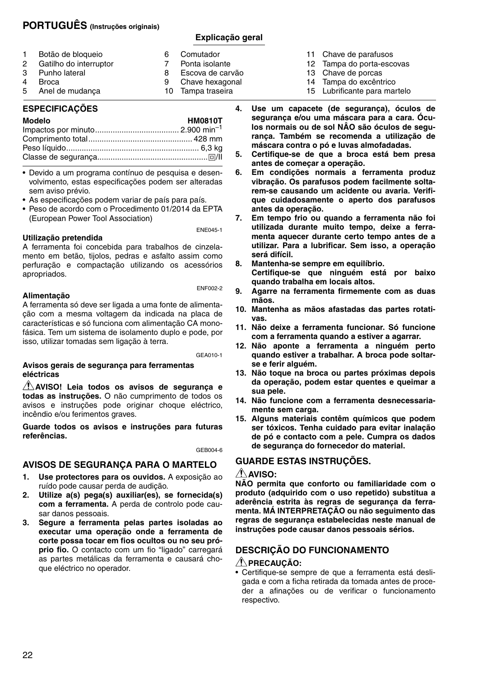#### **PORTUGUÊS (Instruções originais)**

#### **Explicação geral**

| $\mathbf{1}$ | Botão de bloqueio        | 6 | Comutador         |
|--------------|--------------------------|---|-------------------|
|              | 2 Gatilho do interruptor |   | Ponta isolante    |
|              | 3 Punho lateral          | 8 | Escova de carvão  |
| 4            | Broca                    | 9 | Chave hexagonal   |
|              | 5 Anel de mudança        |   | 10 Tampa traseira |

#### **ESPECIFICAÇÕES**

| <b>Modelo</b> | <b>HM0810T</b> |
|---------------|----------------|
|               |                |
|               |                |
|               |                |
|               |                |

• Devido a um programa contínuo de pesquisa e desenvolvimento, estas especificações podem ser alteradas sem aviso prévio.

• As especificações podem variar de país para país.

• Peso de acordo com o Procedimento 01/2014 da EPTA (European Power Tool Association)

**Utilização pretendida**

ENE045-1

A ferramenta foi concebida para trabalhos de cinzelamento em betão, tijolos, pedras e asfalto assim como perfuração e compactação utilizando os acessórios apropriados.

#### **Alimentação**

ENF002-2

A ferramenta só deve ser ligada a uma fonte de alimentação com a mesma voltagem da indicada na placa de características e só funciona com alimentação CA monofásica. Tem um sistema de isolamento duplo e pode, por isso, utilizar tomadas sem ligação à terra.

GEA010-1

#### **Avisos gerais de segurança para ferramentas eléctricas**

**AVISO! Leia todos os avisos de segurança e todas as instruções.** O não cumprimento de todos os avisos e instruções pode originar choque eléctrico, incêndio e/ou ferimentos graves.

**Guarde todos os avisos e instruções para futuras referências.**

GEB004-6

#### **AVISOS DE SEGURANÇA PARA O MARTELO**

- **1. Use protectores para os ouvidos.** A exposição ao ruído pode causar perda de audição.
- **2. Utilize a(s) pega(s) auxiliar(es), se fornecida(s) com a ferramenta.** A perda de controlo pode causar danos pessoais.
- **3. Segure a ferramenta pelas partes isoladas ao executar uma operação onde a ferramenta de corte possa tocar em fios ocultos ou no seu próprio fio.** O contacto com um fio "ligado" carregará as partes metálicas da ferramenta e causará choque eléctrico no operador.
- 11 Chave de parafusos
- 12 Tampa do porta-escovas
- 13 Chave de porcas
- 14 Tampa do excêntrico
- 15 Lubrificante para martelo
- **4. Use um capacete (de segurança), óculos de segurança e/ou uma máscara para a cara. Óculos normais ou de sol NÂO são óculos de segurança. Também se recomenda a utilização de máscara contra o pó e luvas almofadadas.**
- **5. Certifique-se de que a broca está bem presa antes de começar a operação.**
- **6. Em condições normais a ferramenta produz vibração. Os parafusos podem facilmente soltarem-se causando um acidente ou avaria. Verifique cuidadosamente o aperto dos parafusos antes da operação.**
- **7. Em tempo frio ou quando a ferramenta não foi utilizada durante muito tempo, deixe a ferramenta aquecer durante certo tempo antes de a utilizar. Para a lubrificar. Sem isso, a operação será difícil.**
- **8. Mantenha-se sempre em equilíbrio. Certifique-se que ninguém está por baixo quando trabalha em locais altos.**
- **9. Agarre na ferramenta firmemente com as duas mãos.**
- **10. Mantenha as mãos afastadas das partes rotativas.**
- **11. Não deixe a ferramenta funcionar. Só funcione com a ferramenta quando a estiver a agarrar.**
- **12. Não aponte a ferramenta a ninguém perto quando estiver a trabalhar. A broca pode soltarse e ferir alguém.**
- **13. Não toque na broca ou partes próximas depois da operação, podem estar quentes e queimar a sua pele.**
- **14. Não funcione com a ferramenta desnecessariamente sem carga.**
- **15. Alguns materiais contêm químicos que podem ser tóxicos. Tenha cuidado para evitar inalação de pó e contacto com a pele. Cumpra os dados de segurança do fornecedor do material.**

#### **GUARDE ESTAS INSTRUÇÕES.**

#### **AVISO:**

**NÃO permita que conforto ou familiaridade com o produto (adquirido com o uso repetido) substitua a aderência estrita às regras de segurança da ferramenta. MÁ INTERPRETAÇÃO ou não seguimento das regras de segurança estabelecidas neste manual de instruções pode causar danos pessoais sérios.**

### **DESCRIÇÃO DO FUNCIONAMENTO**

#### **PRECAUÇÃO:**

• Certifique-se sempre de que a ferramenta está desligada e com a ficha retirada da tomada antes de proceder a afinações ou de verificar o funcionamento respectivo.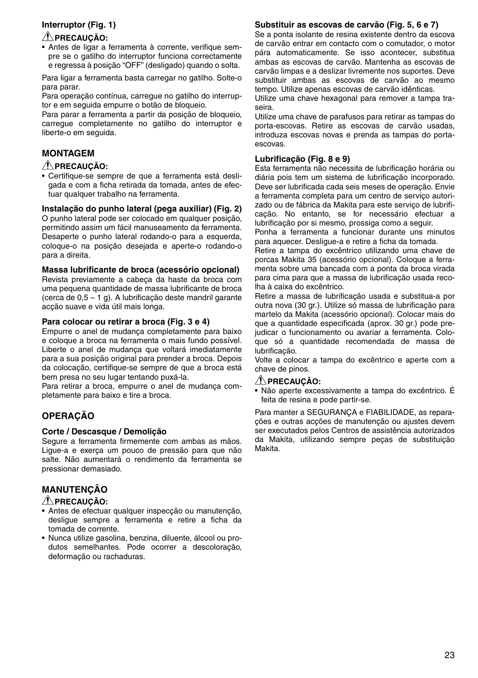#### **Interruptor (Fig. 1)**

#### **PRECAUÇÃO:**

• Antes de ligar a ferramenta à corrente, verifique sempre se o gatilho do interruptor funciona correctamente e regressa à posição "OFF" (desligado) quando o solta.

Para ligar a ferramenta basta carregar no gatilho. Solte-o para parar.

Para operação contínua, carregue no gatilho do interruptor e em seguida empurre o botão de bloqueio.

Para parar a ferramenta a partir da posição de bloqueio, carregue completamente no gatilho do interruptor e liberte-o em seguida.

#### **MONTAGEM**

#### **PRECAUÇÃO:**

• Certifique-se sempre de que a ferramenta está desligada e com a ficha retirada da tomada, antes de efectuar qualquer trabalho na ferramenta.

**Instalação do punho lateral (pega auxiliar) (Fig. 2)**

O punho lateral pode ser colocado em qualquer posição, permitindo assim um fácil manuseamento da ferramenta. Desaperte o punho lateral rodando-o para a esquerda, coloque-o na posição desejada e aperte-o rodando-o para a direita.

#### **Massa lubrificante de broca (acessório opcional)**

Revista previamente a cabeça da haste da broca com uma pequena quantidade de massa lubrificante de broca (cerca de 0,5 – 1 g). A lubrificação deste mandril garante acção suave e vida útil mais longa.

#### **Para colocar ou retirar a broca (Fig. 3 e 4)**

Empurre o anel de mudança completamente para baixo e coloque a broca na ferramenta o mais fundo possível. Liberte o anel de mudança que voltará imediatamente para a sua posição original para prender a broca. Depois da colocação, certifique-se sempre de que a broca está bem presa no seu lugar tentando puxá-la.

Para retirar a broca, empurre o anel de mudança completamente para baixo e tire a broca.

#### **OPERAÇÃO**

#### **Corte / Descasque / Demolição**

Segure a ferramenta firmemente com ambas as mãos. Ligue-a e exerça um pouco de pressão para que não salte. Não aumentará o rendimento da ferramenta se pressionar demasiado.

#### **MANUTENÇÃO**

#### **PRECAUÇÃO:**

- Antes de efectuar qualquer inspecção ou manutenção, desligue sempre a ferramenta e retire a ficha da tomada de corrente.
- Nunca utilize gasolina, benzina, diluente, álcool ou produtos semelhantes. Pode ocorrer a descoloração, deformação ou rachaduras.

#### **Substituir as escovas de carvão (Fig. 5, 6 e 7)**

Se a ponta isolante de resina existente dentro da escova de carvão entrar em contacto com o comutador, o motor pára automaticamente. Se isso acontecer, substitua ambas as escovas de carvão. Mantenha as escovas de carvão limpas e a deslizar livremente nos suportes. Deve substituir ambas as escovas de carvão ao mesmo tempo. Utilize apenas escovas de carvão idênticas.

Utilize uma chave hexagonal para remover a tampa traseira.

Utilize uma chave de parafusos para retirar as tampas do porta-escovas. Retire as escovas de carvão usadas, introduza escovas novas e prenda as tampas do portaescovas.

#### **Lubrificação (Fig. 8 e 9)**

Esta ferramenta não necessita de lubrificação horária ou diária pois tem um sistema de lubrificação incorporado. Deve ser lubrificada cada seis meses de operação. Envie a ferramenta completa para um centro de serviço autorizado ou de fábrica da Makita para este serviço de lubrificação. No entanto, se for necessário efectuar a lubrificação por si mesmo, prossiga como a seguir.

Ponha a ferramenta a funcionar durante uns minutos para aquecer. Desligue-a e retire a ficha da tomada.

Retire a tampa do excêntrico utilizando uma chave de porcas Makita 35 (acessório opcional). Coloque a ferramenta sobre uma bancada com a ponta da broca virada para cima para que a massa de lubrificação usada recolha à caixa do excêntrico.

Retire a massa de lubrificação usada e substitua-a por outra nova (30 gr.). Utilize só massa de lubrificação para martelo da Makita (acessório opcional). Colocar mais do que a quantidade especificada (aprox. 30 gr.) pode prejudicar o funcionamento ou avariar a ferramenta. Coloque só a quantidade recomendada de massa de lubrificação.

Volte a colocar a tampa do excêntrico e aperte com a chave de pinos.

#### **PRECAUÇÃO:**

• Não aperte excessivamente a tampa do excêntrico. É feita de resina e pode partir-se.

Para manter a SEGURANÇA e FIABILIDADE, as reparações e outras acções de manutenção ou ajustes devem ser executados pelos Centros de assistência autorizados da Makita, utilizando sempre peças de substituição Makita.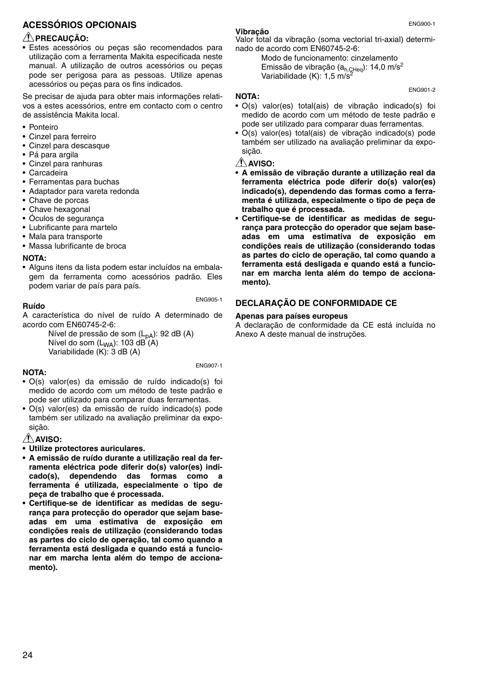#### **ACESSÓRIOS OPCIONAIS**

#### **PRECAUÇÃO:**

• Estes acessórios ou peças são recomendados para utilização com a ferramenta Makita especificada neste manual. A utilização de outros acessórios ou peças pode ser perigosa para as pessoas. Utilize apenas acessórios ou peças para os fins indicados.

Se precisar de ajuda para obter mais informações relativos a estes acessórios, entre em contacto com o centro de assistência Makita local.

- Ponteiro
- Cinzel para ferreiro
- Cinzel para descasque
- Pá para argila
- Cinzel para ranhuras
- Carcadeira
- Ferramentas para buchas
- Adaptador para vareta redonda
- Chave de porcas
- Chave hexagonal
- Óculos de segurança
- Lubrificante para martelo
- Mala para transporte
- Massa lubrificante de broca

#### **NOTA:**

• Alguns itens da lista podem estar incluídos na embalagem da ferramenta como acessórios padrão. Eles podem variar de país para país.

#### **Ruído**

ENG905-1

ENG907-1

A característica do nível de ruído A determinado de acordo com EN60745-2-6:

Nível de pressão de som (L<sub>pA</sub>): 92 dB (A) Nível do som  $(L_{WA})$ : 103 dB $(A)$ Variabilidade (K): 3 dB (A)

#### **NOTA:**

- O(s) valor(es) da emissão de ruído indicado(s) foi medido de acordo com um método de teste padrão e pode ser utilizado para comparar duas ferramentas.
- O(s) valor(es) da emissão de ruído indicado(s) pode também ser utilizado na avaliação preliminar da exposição.

#### **AVISO:**

- **Utilize protectores auriculares.**
- **A emissão de ruído durante a utilização real da ferramenta eléctrica pode diferir do(s) valor(es) indicado(s), dependendo das formas como a ferramenta é utilizada, especialmente o tipo de peça de trabalho que é processada.**
- **Certifique-se de identificar as medidas de segurança para protecção do operador que sejam baseadas em uma estimativa de exposição em condições reais de utilização (considerando todas as partes do ciclo de operação, tal como quando a ferramenta está desligada e quando está a funcionar em marcha lenta além do tempo de accionamento).**

#### **Vibração**

Valor total da vibração (soma vectorial tri-axial) determinado de acordo com EN60745-2-6:

Modo de funcionamento: cinzelamento Emissão de vibração (a<sub>h,CHeq</sub>): 14,0 m/s<sup>2</sup><br>Variabilidade (K): 1,5 m/s<sup>2</sup>

#### **NOTA:**

- O(s) valor(es) total(ais) de vibração indicado(s) foi medido de acordo com um método de teste padrão e pode ser utilizado para comparar duas ferramentas.
- O(s) valor(es) total(ais) de vibração indicado(s) pode também ser utilizado na avaliação preliminar da exposição.

#### **AVISO:**

- **A emissão de vibração durante a utilização real da ferramenta eléctrica pode diferir do(s) valor(es) indicado(s), dependendo das formas como a ferramenta é utilizada, especialmente o tipo de peça de trabalho que é processada.**
- **Certifique-se de identificar as medidas de segurança para protecção do operador que sejam baseadas em uma estimativa de exposição em condições reais de utilização (considerando todas as partes do ciclo de operação, tal como quando a ferramenta está desligada e quando está a funcionar em marcha lenta além do tempo de accionamento).**

#### **DECLARAÇÃO DE CONFORMIDADE CE**

#### **Apenas para países europeus**

A declaração de conformidade da CE está incluída no Anexo A deste manual de instruções.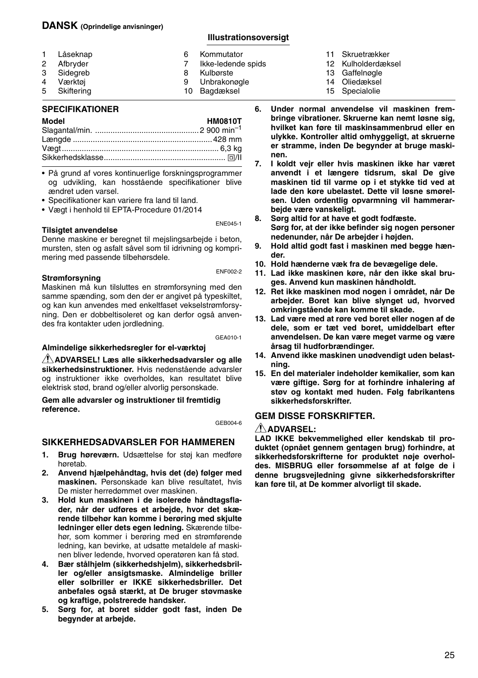#### **DANSK (Oprindelige anvisninger)**

#### **Illustrationsoversigt**

| 1. | Låseknap   | 6 | Kommutator         |
|----|------------|---|--------------------|
| 2  | Afbryder   |   | Ikke-ledende spids |
|    | 3 Sidegreb |   | Kulbørste          |
| 4  | Værktøi    |   | Unbrakonøgle       |
| 5  | Skiftering |   | 10 Bagdæksel       |

#### **SPECIFIKATIONER**

| Model | <b>HM0810T</b> |
|-------|----------------|
|       |                |
|       |                |
|       |                |
|       |                |
|       |                |

- På grund af vores kontinuerlige forskningsprogrammer og udvikling, kan hosstående specifikationer blive ændret uden varsel.
- Specifikationer kan variere fra land til land.
- Vægt i henhold til EPTA-Procedure 01/2014

#### **Tilsigtet anvendelse**

Denne maskine er beregnet til mejslingsarbejde i beton, mursten, sten og asfalt såvel som til idrivning og komprimering med passende tilbehørsdele.

#### **Strømforsyning**

ENF002-2

ENE045-1

Maskinen må kun tilsluttes en strømforsyning med den samme spænding, som den der er angivet på typeskiltet, og kan kun anvendes med enkeltfaset vekselstrømforsyning. Den er dobbeltisoleret og kan derfor også anvendes fra kontakter uden jordledning.

GEA010-1

#### **Almindelige sikkerhedsregler for el-værktøj**

**ADVARSEL! Læs alle sikkerhedsadvarsler og alle sikkerhedsinstruktioner.** Hvis nedenstående advarsler og instruktioner ikke overholdes, kan resultatet blive elektrisk stød, brand og/eller alvorlig personskade.

**Gem alle advarsler og instruktioner til fremtidig reference.**

GEB004-6

#### **SIKKERHEDSADVARSLER FOR HAMMEREN**

- **1. Brug høreværn.** Udsættelse for støj kan medføre høretab.
- **2. Anvend hjælpehåndtag, hvis det (de) følger med maskinen.** Personskade kan blive resultatet, hvis De mister herredømmet over maskinen.
- **3. Hold kun maskinen i de isolerede håndtagsflader, når der udføres et arbejde, hvor det skærende tilbehør kan komme i berøring med skjulte ledninger eller dets egen ledning.** Skærende tilbehør, som kommer i berøring med en strømførende ledning, kan bevirke, at udsatte metaldele af maskinen bliver ledende, hvorved operatøren kan få stød.
- **4. Bær stålhjelm (sikkerhedshjelm), sikkerhedsbriller og/eller ansigtsmaske. Almindelige briller eller solbriller er IKKE sikkerhedsbriller. Det anbefales også stærkt, at De bruger støvmaske og kraftige, polstrerede handsker.**
- **5. Sørg for, at boret sidder godt fast, inden De begynder at arbejde.**
- 11 Skruetrækker
- 12 Kulholderdæksel
- 13 Gaffelnøgle
- 14 Oliedæksel
- 15 Specialolie
- **6. Under normal anvendelse vil maskinen frembringe vibrationer. Skruerne kan nemt løsne sig, hvilket kan føre til maskinsammenbrud eller en ulykke. Kontroller altid omhyggeligt, at skruerne er stramme, inden De begynder at bruge maskinen.**
- **7. I koldt vejr eller hvis maskinen ikke har været anvendt i et længere tidsrum, skal De give maskinen tid til varme op i et stykke tid ved at lade den køre ubelastet. Dette vil løsne smørelsen. Uden ordentlig opvarmning vil hammerarbejde være vanskeligt.**
- **8. Sørg altid for at have et godt fodfæste. Sørg for, at der ikke befinder sig nogen personer nedenunder, når De arbejder i højden.**
- **9. Hold altid godt fast i maskinen med begge hænder.**
- **10. Hold hænderne væk fra de bevægelige dele.**
- **11. Lad ikke maskinen køre, når den ikke skal bruges. Anvend kun maskinen håndholdt.**
- **12. Ret ikke maskinen mod nogen i området, når De arbejder. Boret kan blive slynget ud, hvorved omkringstående kan komme til skade.**
- **13. Lad være med at røre ved boret eller nogen af de dele, som er tæt ved boret, umiddelbart efter anvendelsen. De kan være meget varme og være årsag til hudforbrændinger.**
- **14. Anvend ikke maskinen unødvendigt uden belastning.**
- **15. En del materialer indeholder kemikalier, som kan være giftige. Sørg for at forhindre inhalering af støv og kontakt med huden. Følg fabrikantens sikkerhedsforskrifter.**

#### **GEM DISSE FORSKRIFTER.**

#### **ADVARSEL:**

**LAD IKKE bekvemmelighed eller kendskab til produktet (opnået gennem gentagen brug) forhindre, at sikkerhedsforskrifterne for produktet nøje overholdes. MISBRUG eller forsømmelse af at følge de i denne brugsvejledning givne sikkerhedsforskrifter kan føre til, at De kommer alvorligt til skade.**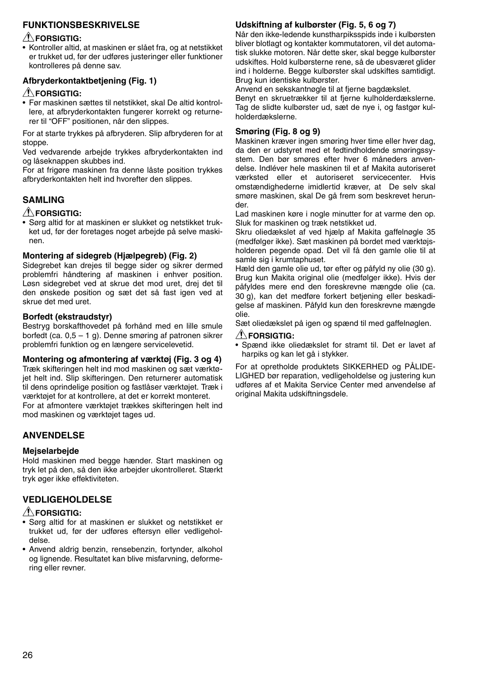#### **FUNKTIONSBESKRIVELSE**

#### **FORSIGTIG:**

• Kontroller altid, at maskinen er slået fra, og at netstikket er trukket ud, før der udføres justeringer eller funktioner kontrolleres på denne sav.

#### **Afbryderkontaktbetjening (Fig. 1)**

#### **FORSIGTIG:**

• Før maskinen sættes til netstikket, skal De altid kontrollere, at afbryderkontakten fungerer korrekt og returnerer til "OFF" positionen, når den slippes.

For at starte trykkes på afbryderen. Slip afbryderen for at stoppe.

Ved vedvarende arbejde trykkes afbryderkontakten ind og låseknappen skubbes ind.

For at frigøre maskinen fra denne låste position trykkes afbryderkontakten helt ind hvorefter den slippes.

#### **SAMLING**

#### **FORSIGTIG:**

• Sørg altid for at maskinen er slukket og netstikket trukket ud, før der foretages noget arbejde på selve maskinen.

#### **Montering af sidegreb (Hjælpegreb) (Fig. 2)**

Sidegrebet kan drejes til begge sider og sikrer dermed problemfri håndtering af maskinen i enhver position. Løsn sidegrebet ved at skrue det mod uret, drej det til den ønskede position og sæt det så fast igen ved at skrue det med uret.

#### **Borfedt (ekstraudstyr)**

Bestryg borskafthovedet på forhånd med en lille smule borfedt (ca. 0,5 – 1 g). Denne smøring af patronen sikrer problemfri funktion og en længere servicelevetid.

#### **Montering og afmontering af værktøj (Fig. 3 og 4)**

Træk skifteringen helt ind mod maskinen og sæt værktøjet helt ind. Slip skifteringen. Den returnerer automatisk til dens oprindelige position og fastlåser værktøjet. Træk i værktøjet for at kontrollere, at det er korrekt monteret. For at afmontere værktøjet trækkes skifteringen helt ind mod maskinen og værktøjet tages ud.

#### **ANVENDELSE**

#### **Mejselarbejde**

Hold maskinen med begge hænder. Start maskinen og tryk let på den, så den ikke arbejder ukontrolleret. Stærkt tryk øger ikke effektiviteten.

#### **VEDLIGEHOLDELSE**

#### **FORSIGTIG:**

- Sørg altid for at maskinen er slukket og netstikket er trukket ud, før der udføres eftersyn eller vedligeholdelse.
- Anvend aldrig benzin, rensebenzin, fortynder, alkohol og lignende. Resultatet kan blive misfarvning, deformering eller revner.

#### **Udskiftning af kulbørster (Fig. 5, 6 og 7)**

Når den ikke-ledende kunstharpiksspids inde i kulbørsten bliver blotlagt og kontakter kommutatoren, vil det automatisk slukke motoren. Når dette sker, skal begge kulbørster udskiftes. Hold kulbørsterne rene, så de ubesværet glider ind i holderne. Begge kulbørster skal udskiftes samtidigt. Brug kun identiske kulbørster.

Anvend en sekskantnøgle til at fjerne bagdækslet.

Benyt en skruetrækker til at fjerne kulholderdækslerne. Tag de slidte kulbørster ud, sæt de nye i, og fastgør kulholderdækslerne.

#### **Smøring (Fig. 8 og 9)**

Maskinen kræver ingen smøring hver time eller hver dag, da den er udstyret med et fedtindholdende smøringssystem. Den bør smøres efter hver 6 måneders anvendelse. Indléver hele maskinen til et af Makita autoriseret værksted eller et autoriseret servicecenter. Hvis omstændighederne imidlertid kræver, at De selv skal smøre maskinen, skal De gå frem som beskrevet herunder.

Lad maskinen køre i nogle minutter for at varme den op. Sluk for maskinen og træk netstikket ud.

Skru oliedækslet af ved hjælp af Makita gaffelnøgle 35 (medfølger ikke). Sæt maskinen på bordet med værktøjsholderen pegende opad. Det vil få den gamle olie til at samle sig i krumtaphuset.

Hæld den gamle olie ud, tør efter og påfyld ny olie (30 g). Brug kun Makita original olie (medfølger ikke). Hvis der påfyldes mere end den foreskrevne mængde olie (ca. 30 g), kan det medføre forkert betjening eller beskadigelse af maskinen. Påfyld kun den foreskrevne mængde olie.

Sæt oliedækslet på igen og spænd til med gaffelnøglen.

#### **FORSIGTIG:**

• Spænd ikke oliedækslet for stramt til. Det er lavet af harpiks og kan let gå i stykker.

For at opretholde produktets SIKKERHED og PÅLIDE-LIGHED bør reparation, vedligeholdelse og justering kun udføres af et Makita Service Center med anvendelse af original Makita udskiftningsdele.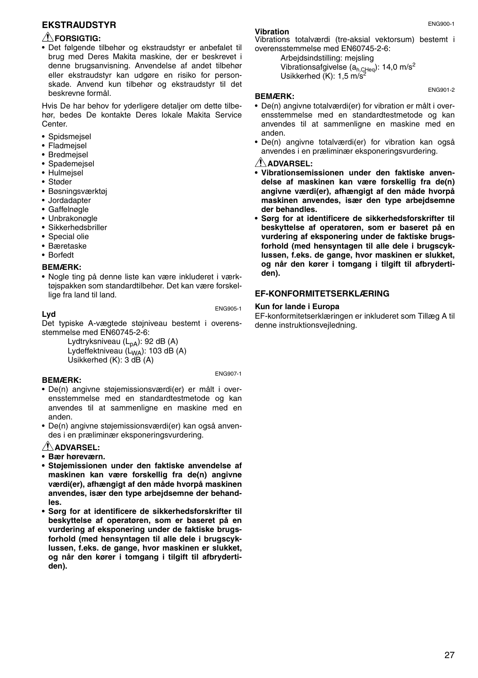#### **EKSTRAUDSTYR**

#### **FORSIGTIG:**

• Det følgende tilbehør og ekstraudstyr er anbefalet til brug med Deres Makita maskine, der er beskrevet i denne brugsanvisning. Anvendelse af andet tilbehør eller ekstraudstyr kan udgøre en risiko for personskade. Anvend kun tilbehør og ekstraudstyr til det beskrevne formål.

Hvis De har behov for yderligere detaljer om dette tilbehør, bedes De kontakte Deres lokale Makita Service Center.

- Spidsmejsel
- Fladmejsel
- Bredmejsel
- Spademejsel
- Hulmejsel
- Støder
- Bøsningsværktøj
- Jordadapter
- Gaffelnøgle
- Unbrakonøgle
- Sikkerhedsbriller
- Special olie
- Bæretaske
- Borfedt

**Lyd**

#### **BEMÆRK:**

• Nogle ting på denne liste kan være inkluderet i værktøjspakken som standardtilbehør. Det kan være forskellige fra land til land.

ENG905-1

Det typiske A-vægtede støjniveau bestemt i overensstemmelse med EN60745-2-6:

Lydtryksniveau  $(L_{DA})$ : 92 dB (A) Lydeffektniveau (L<sub>WA</sub>): 103 dB (A) Usikkerhed (K): 3 dB (A)

ENG907-1

#### **BEMÆRK:**

- De(n) angivne støjemissionsværdi(er) er målt i overensstemmelse med en standardtestmetode og kan anvendes til at sammenligne en maskine med en anden.
- De(n) angivne støjemissionsværdi(er) kan også anvendes i en præliminær eksponeringsvurdering.

#### **ADVARSEL:**

- **Bær høreværn.**
- **Støjemissionen under den faktiske anvendelse af maskinen kan være forskellig fra de(n) angivne værdi(er), afhængigt af den måde hvorpå maskinen anvendes, især den type arbejdsemne der behandles.**
- **Sørg for at identificere de sikkerhedsforskrifter til beskyttelse af operatøren, som er baseret på en vurdering af eksponering under de faktiske brugsforhold (med hensyntagen til alle dele i brugscyklussen, f.eks. de gange, hvor maskinen er slukket, og når den kører i tomgang i tilgift til afbrydertiden).**

#### **Vibration**

Vibrations totalværdi (tre-aksial vektorsum) bestemt i overensstemmelse med EN60745-2-6:

Arbejdsindstilling: mejsling Vibrationsafgivelse (a<sub>h,CHeq</sub>): 14,0 m/s<sup>2</sup><br>Usikkerhed (K): 1,5 m/s<sup>2</sup>

#### **BEMÆRK:**

- De(n) angivne totalværdi(er) for vibration er målt i overensstemmelse med en standardtestmetode og kan anvendes til at sammenligne en maskine med en anden.
- De(n) angivne totalværdi(er) for vibration kan også anvendes i en præliminær eksponeringsvurdering.

#### **ADVARSEL:**

- **Vibrationsemissionen under den faktiske anvendelse af maskinen kan være forskellig fra de(n) angivne værdi(er), afhængigt af den måde hvorpå maskinen anvendes, især den type arbejdsemne der behandles.**
- **Sørg for at identificere de sikkerhedsforskrifter til beskyttelse af operatøren, som er baseret på en vurdering af eksponering under de faktiske brugsforhold (med hensyntagen til alle dele i brugscyklussen, f.eks. de gange, hvor maskinen er slukket, og når den kører i tomgang i tilgift til afbrydertiden).**

#### **EF-KONFORMITETSERKLÆRING**

#### **Kun for lande i Europa**

EF-konformitetserklæringen er inkluderet som Tillæg A til denne instruktionsvejledning.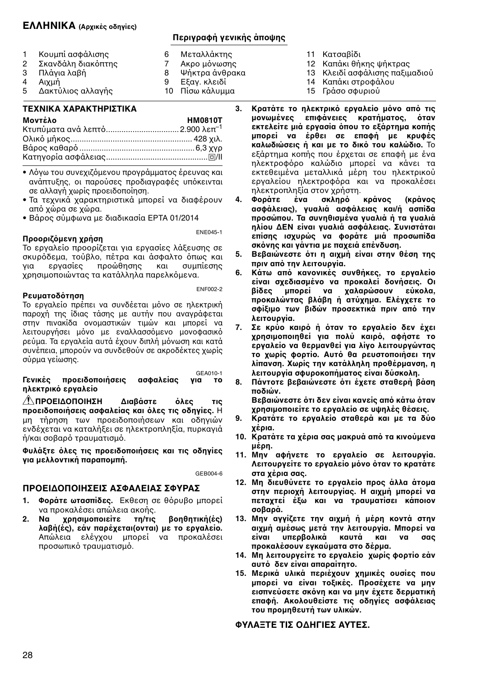#### **ΕΛΛΗΝΙΚΑ (Αρικές δηγίες)**

#### **Περιγραφή γενικής άπψης**

6 Μεταλλάκτης<br>7 Ακρο μόνωσης 7 Ακρο μόνωσης<br>8 Ψήκτρα άνθραι 8 Ψήκτρα άνθρακα<br>9 Εξαν κλειδί Εξαν. κλειδί 10 Πίσω κάλυμμα

- 1 Κουμπί ασφάλισης<br>2 Σκανδάλη διακόπτι
- 2 Σκανδάλη διακόπτης<br>3 Πλάνια λαβή
- 3 Πλάγια λαβή<br>4 Αιχμή
- 4 Αιχμή<br>5 Δακτύ
- Δακτύλιος αλλαγής

#### **ΤΕ%ΝΙΚΑ %ΑΡΑΚΤΗΡΙΣΤΙΚΑ**

| Μοντέλο                                     | <b>HM0810T</b> |
|---------------------------------------------|----------------|
| Κτυπύματα ανά λεπτό 2.900 λεπ <sup>-1</sup> |                |
|                                             |                |
|                                             |                |
|                                             |                |

- Λόγω του συνεχιζόμενου προγράμματος έρευνας και ανάπτυξης, οι παρούσες προδιαγραφές υπόκεινται σε αλλαγή χωρίς προειδοποίηση.
- Τα τεχνικά χαρακτηριστικά μπορεί να διαφέρουν από χώρα σε χώρα.
- Βάρς σύμφωνα με διαδικασία EPTA 01/2014

#### **Προοριζόμενη χρήση**

ENE045-1

Το εργαλείο προορίζεται για εργασίες λάξευσης σε σκυρόδεμα, τούβλο, πέτρα και άσφαλτο όπως και<br>για σεργασίες προώθησης και συμπίεσης για εργασίες πρώθησης και συμπίεσης χρησιμοποιώντας τα κατάλληλα παρελκόμενα.

#### **Ρευματδ,τηση**

ENF002-2

Το εργαλείο πρέπει να συνδέεται μόνο σε ηλεκτρική παροχή της ίδιας τάσης με αυτήν που αναγράφεται στην πινακίδα ονομαστικών τιμών και μπορεί να λειτουργήσει μόνο με εναλλασσόμενο μονοφασικό ρεύμα. Τα εργαλεία αυτά έχουν διπλή μόνωση και κατά συνέπεια, μπορούν να συνδεθούν σε ακροδέκτες χωρίς σύρμα γείωσης.

#### GEA010-1<br>VIQ TO Γενικές προειδοποιήσεις ασφαλείας **ηλεκτρικό εργαλείο**

<u>Δ' ΠΡΟΕΙΔΟΠΟΙΗΣΗ Διαβάστε όλες τις</u> **πρειδπιήσεις ασφαλείας και ,λες τις δηγίες.** Η μη τήρηση των προειδοποιήσεων και οδηγιών ενδέχεται να καταλήξει σε ηλεκτροπληξία, πυρκανιά ή/και σοβαρό τραυματισμό.

**Φυλά4τε ,λες τις πρειδπιήσεις και τις δηγίες** για μελλοντική παραπομπή.

GEB004-6

### **ΠΡΕΙΔΠΙΗΣΕΙΣ ΑΣΦΑΛΕΙΑΣ ΣΦΥΡΑΣ**

- 1. Φοράτε ωτασπίδες. Εκθεση σε θόρυβο μπορεί να προκαλέσει απώλεια ακοής.<br>2. **Να χρησιμοποιείτε τη/τις**
- **χρησιμοποιείτε τη/τις βοηθητική(ές)** λαβή(ές), εάν παρέχεται(ονται) με το εργαλείο. Απώλεια ελέγχου μπορεί να προκαλέσει προσωπικό τραυματισμό.
- 11 Κατσαίδι
- 12 Καπάκι θήκης ψήκτρας
- 13 Κλειδί ασφάλισης παξιμαδιού
- 14 Καπάκι στροφάλου 15 Γράσο σφυριού
- 3. Κρατάτε το ηλεκτρικό εργαλείο μόνο από τις<br>μονωμένες επιφάνειες κρατήματος, όταν επιφάνειες κρατήματος, όταν εκτελείτε μιά εργασία όπου το εξάρτημα κοπής **μπρεί να έρθει σε επαφή με κρυφές καλωδιώσεις ή και με το δικό του καλώδιο.** Το εξάρτημα κοπής που έρχεται σε επαφή με ένα ηλεκτροφόρο καλώδιο μπορεί να κάνει τα εκτεθειμένα μεταλλικά μέρη του ηλεκτρικού εργαλείου ηλεκτροφόρα και να προκαλέσει ηλεκτροπληξία στον χρήστη.<br>Φοράτε ένα σκληρό
- 4. Φοράτε ένα σκληρό κράνος (κράνος **ασφάλειας), γυαλιά ασφάλειας και/ή ασπίδα πρσώπυ. Τα συνηθισμένα γυαλιά ή τα γυαλιά ηλίυ ΔΕΝ είναι γυαλιά ασφάλειας. Συνιστάται επίσης ισυρώς να φράτε μιά πρσωπίδα** σκόνης και γάντια με παχειά επένδυση.
- 5. Βεβαιώνεστε ότι η αιχμή είναι στην θέση της **πριν απ, την λειτυργία.**
- 6. Κάτω από κανονικές συνθήκες, το εργαλείο<br>είναι σχεδιασμένο να προκαλεί δονήσεις. Οι **/ίδες μπρεί να αλαρώσυν εύκλα, προκαλώντας βλάβη ή ατύχημα. Ελένγετε το** σφίξιμο των βιδών προσεκτικά πριν από την **λειτυργία.**
- 7. Σε κρύο καιρό ή όταν το ερναλείο δεν έχει **χρησιμοποιηθεί για πολύ καιρό, αφήστε το εργαλεί να θερμανθεί για λίγ λειτυργώντας** το χωρίς φορτίο. Αυτό θα ρευστοποιήσει την **λίπανση. %ωρίς την κατάλληλη πρθέρμανση, η** λειτουργία σφυροκοπήματος είναι δύσκολη.
- 8. Πάντοτε βεβαιώνεστε ότι έχετε σταθερή βάση **πδιών.**
	- **Βεβαιώνεστε ότι δεν είναι κανείς από κάτω όταν ρησιμπιείτε τ εργαλεί σε υψηλές θέσεις.**
- 9. Κρατάτε το εργαλείο σταθερά και με τα δύο **έρια.**
- 10. Κρατάτε τα χέρια σας μακρυά από τα κινούμενα **μέρη.**
- 11. Μην αφήνετε το εργαλείο σε λειτουργία. Λειτουργείτε το εργαλείο μόνο όταν το κρατάτε **στα έρια σας.**
- 12. Μη διευθύνετε το εργαλείο προς άλλα άτομα **στην περιοχή λειτουργίας. Η αιχμή μπορεί να** πεταχτεί έξω και να τραυματίσει κάποιον **σοβαρά.**
- 13. Μην αγγίζετε την αιχμή ή μέρη κοντά στην **αιμή αμέσως μετά την λειτυργία. Μπρεί να είναι υπερ/λικά καυτά και να σας πρκαλέσυν εγκαύματα στ δέρμα.**
- 14. Μη λειτουργείτε το εργαλείο χωρίς φορτίο εάν **αυτ, δεν είναι απαραίτητ.**
- 15. Μερικά υλικά περιέχουν χημικές ουσίες που μπορεί να είναι τοξικές. Προσέχετε να μην εισπνεύσετε σκόνη και να μην έχετε δερματική **επαφή. Ακλυθείστε τις δηγίες ασφάλειας τυ πρμηθευτή των υλικών.**

#### **ΦΥΛΑDΤΕ ΤΙΣ ΔΗΓΙΕΣ ΑΥΤΕΣ.**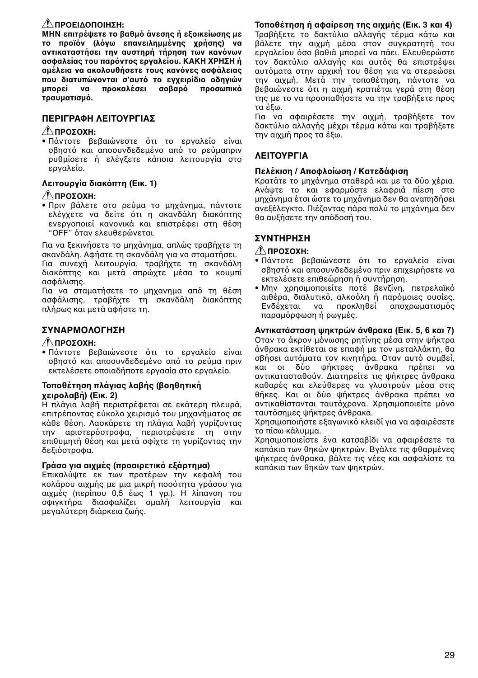#### **ΠΡΕΙΔΠΙΗΣΗ:**

**ΜΗΝ επιτρέψετε το βαθμό άνεσης ή εξοικείωσης με το προϊόν (λόγω επανειλημμένης χρήσης) να** αντικαταστήσει την αυστηρή τήρηση των κανόνων **ασφαλείας τυ παρ,ντς εργαλείυ. ΚΑΚΗ %ΡΗΣΗ ή** αμέλεια να ακολουθήσετε τους κανόνες ασφάλειας που διατυπώνονται σ'αυτό το εγχειρίδιο οδηγιών<br>μπορεί να προκαλέσει σοβαρό προσωπικό **προκαλέσει σοβαρό τραυματισμ,.** 

#### **ΠΕΡΙΓΡΑΦΗ ΛΕΙΤΟΥΡΓΙΑΣ**

#### **ΠΡΣ%Η:**

• Πάντοτε βεβαιώνεστε ότι το ερναλείο είναι σβηστό και αποσυνδεδεμένο από το ρεύμαπριν ρυθμίσετε ή ελέγξετε κάποια λειτουργία στο εργαλεί.

#### Λειτουργία διακόπτη (Εικ. **1)**

#### **ΠΡΣ%Η:**

• Πριν βάλετε στο ρεύμα το μηχάνημα, πάντοτε ελέγχετε να δείτε ότι η σκανδάλη διακόπτης ενεργοποιεί κανονικά και επιστρέφει στη θέση "OFF" ταν ελευθερώνεται.

Για να ξεκινήσετε το μηχάνημα, απλώς τραβήχτε τη σκανδάλη. Αφήστε τη σκανδάλη για να σταματήσει. Για συνεχή λειτουργία, τραβήχτε τη σκανδάλη διακόπτης και μετά σπρώχτε μέσα το κουμπί ασφάλισης.

Για να σταματήσετε το μηχανημα από τη θέση ασφάλισης, τραβήχτε τη σκανδάλη διακόπτης πλήρως και μετά αφήστε τη.

#### **ΣΥΝΑΡΜΛΓΗΣΗ**

#### **ΠΡΣ%Η:**

• Πάντοτε βεβαιώνεστε ότι το ερναλείο είναι σβηστό και αποσυνδεδεμένο από το ρεύμα πριν εκτελέσετε οποιαδήποτε εργασία στο εργαλείο.

#### **Τοποθέτηση πλάγιας λαβής (βοηθητική ειρλα/ή) (Εικ. 2)**

Η πλάγια λαή περιστρέφεται σε εκάτερη πλευρά, επιτρέποντας εύκολο χειρισμό του μηχανήματος σε κάθε θέση. Λασκάρετε τη πλάγια λαβή γυρίζοντας την αριστερόστροφα, περιστρέψετε τη στην επιθυμητή θέση και μετά σφίχτε τη γυρίζοντας την δεξιόστροφα.

#### **Γράσο για αιχμές (προαιρετικό εξάρτημα)**

Επικαλύψτε εκ των προτέρων την κεφαλή του κολάρου αιχμής με μια μικρή ποσότητα γράσου για αιχμές (περίπου 0,5 έως 1 γρ.). Η λίπανση του σφιγκτήρα διασφαλίζει ομαλή λειτουργία και μεγαλύτερη διάρκεια ζωής.

#### **Τπθέτηση ή αφαίρεση της αιμής (Εικ. 3 και 4)**

Τραβήξετε το δακτύλιο αλλαγής τέρμα κάτω και βάλετε την αιχμή μέσα στον συγκρατητή του εργαλείου όσο βαθιά μπορεί να πάει. Ελευθερώστε τον δακτύλιο αλλαγής και αυτός θα επιστρέψει αυτόματα στην αρχική του θέση για να στερεώσει την αιχμή. Μετά την τοποθέτηση, πάντοτε να βεβαιώνεστε ότι η αιχμή κρατιέται γερά στη θέση της με το να προσπαθήσετε να την τραβήξετε προς τα έξω.

Για να αφαιρέσετε την αιχμή, τραβήξετε τον δακτύλιο αλλανής μέχρι τέρμα κάτω και τραβήξετε την αιχμή προς τα έξω.

#### **ΛΕΙΤΟΥΡΓΙΔ**

#### **Πελέκιση / Απφλίωση / Κατεδάφιση**

Κρατάτε το μηγάνημα σταθερά και με τα δύο γέρια. Ανάψτε το και εφαρμόστε ελαφριά πίεση στο μηγάνημα έτσι ώστε το μηγάνημα δεν θα αναπηδήσει .<br>ανεξέλεγκτο. Πιέζοντας πάρα πολύ το μηχάνημα δεν θα αυξήσετε την απόδοσή του.

#### **ΣΥΝΤΗΡΗΣΗ**

#### **ΠΡΣ%Η:**

- Πάντοτε βεβαιώνεστε ότι το εργαλείο είναι σβηστό και αποσυνδεδεμένο πριν επιχειρήσετε να εκτελέσετε επιθεώρηση ή συντήρηση.
- Μην χρησιμοποιείτε ποτέ βενζίνη, πετρελαϊκό αιθέρα, διαλυτικό, αλκοόλη ή παρόμοιες ουσίες.<br>Ενδέχεται να προκληθεί αποχρωματισμός αποχρωματισμός παραμόρφωση ή ρωγμές.

#### **Αντικατάσταση ψηκτρών άνθρακα (Εικ. 5, 6 και 7)**

Οταν το άκρον μόνωσης ρητίνης μέσα στην ψήκτρα άνθρακα εκτίθεται σε επαφή με τον μεταλλάκτη, θα σβήσει αυτόματα τον κινητήρα. Οταν αυτό συμβεί,<br>και οι δύο ψήκτρες άνθρακα ποέπει να ψήκτρες άνθρακα πρέπει αντικατασταθύν. Διατηρείτε τις ψήκτρες άνθρακα καθαρές και ελεύθερες να γλυστρύν μέσα στις θήκες. Και οι δύο ψήκτρες άνθρακα πρέπει να αντικαθίστανται ταυτόχρονα. Χρησιμοποιείτε μόνο ταυτόσημες ψήκτρες άνθρακα.

Χρησιμοποιήστε εξαγωνικό κλειδί για να αφαιρέσετε το πίσω κάλυμμα.

Χρησιμοποιείστε ένα κατσαβίδι να αφαιρέσετε τα καπάκια των θηκών ψηκτρών. Βγάλτε τις φθαρμένες ψήκτρες άνθρακα, βάλτε τις νέες και ασφαλίστε τα καπάκια των θηκών των ψηκτρών.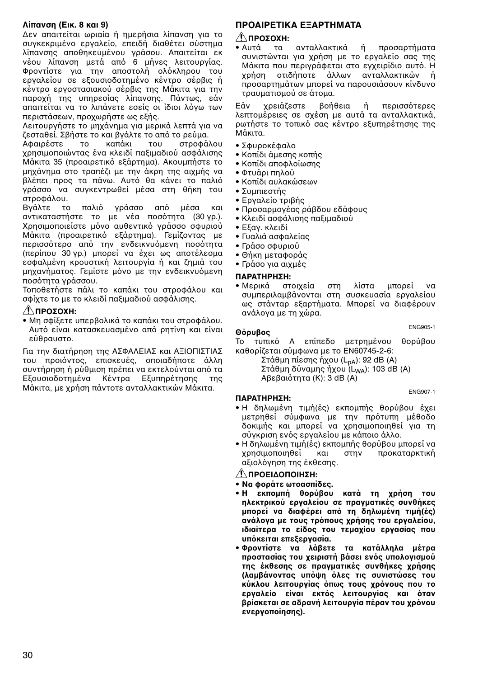#### **Λίπανση (Εικ. 8 και 9)**

Δεν απαιτείται ωριαία ή ημερήσια λίπανση για τ συγκεκριμένο εργαλείο, επειδή διαθέτει σύστημα λίπανσης αποθηκευμένου γράσου. Απαιτείται εκ νέου λίπανση μετά από 6 μήνες λειτουργίας. Φροντίστε για την αποστολή ολόκληρου του εργαλείου σε εξουσιοδοτημένο κέντρο σέρβις ή κέντρο εργοστασιακού σέρβις της Μάκιτα για την παροχή της υπηρεσίας λίπανσης. Πάντως, εάν απαιτείται να το λιπάνετε εσείς οι ίδιοι λόγω των περιστάσεων, προχωρήστε ως εξής.

Λειτουργήστε το μηχάνημα για μερικά λεπτά για να ζεσταθεί. Σβήστε το και βγάλτε το από το ρεύμα.

Αφαιρέστε το καπάκι του στροφάλου χρησιμοποιώντας ένα κλειδί παξιμαδιού ασφάλισης Μάκιτα 35 (προαιρετικό εξάρτημα). Ακουμπήστε το μηχάνημα στο τραπέζι με την άκρη της αιχμής να βλέπει προς τα πάνω. Αυτό θα κάνει το παλιό γράσσο να συγκεντρωθεί μέσα στη θήκη του στροφάλου.

Βγάλτε το παλιό γράσσο από μέσα και αντικαταστήστε το με νέα ποσότητα (30 γρ.). Χρησιμοποιείστε μόνο αυθεντικό γράσσο σφυριού Μάκιτα (προαιρετικό εξάρτημα). Γεμίζοντας με περισσότερο από την ενδεικνυόμενη ποσότητα (περίπου 30 γρ.) μπορεί να έχει ως αποτέλεσμα εσφαλμένη κρουστική λειτουργία ή και ζημιά του μηχανήματος. Γεμίστε μόνο με την ενδεικνυόμενη ποσότητα γράσσου.

Τοποθετήστε πάλι το καπάκι του στροφάλου και σφίχτε το με το κλειδί παξιμαδιού ασφάλισης.

#### **ΠΡΣ%Η:**

• Μη σφίξετε υπερβολικά το καπάκι του στροφάλου. Αυτό είναι κατασκευασμένο από ρητίνη και είναι εύθραυστο.

Για την διατήρηση της ΑΣΦΑΛΕΙΑΣ και ΑΞΙΟΠΙΣΤΙΑΣ του προιόντος, επισκευές, οποιαδήποτε άλλη συντήρηση ή ρύθμιση πρέπει να εκτελούνται από τα Εξουσιοδοτημένα Κέντρα Εξυπηρέτησης της Μάκιτα, με χρήση πάντοτε ανταλλακτικών Μάκιτα.

#### **ΠΡΟΑΙΡΕΤΙΚΑ ΕΞΑΡΤΗΜΑΤΑ**

## **⊥ ΠΡΟΣΟΧΗ:**<br>• Αυτά τα

τα ανταλλακτικά ή προσαρτήματα συνιστώνται για χρήση με το εργαλείο σας της Μάκιτα που περιγράφεται στο εγχειρίδιο αυτό. Η<br>χρήση οτιδήποτε άλλων ανταλλακτικών ή ρήση τιδήπτε άλλων ανταλλακτικών ή προσαρτημάτων μπορεί να παρουσιάσουν κίνδυνο τραυματισμύ σε άτμα.

Εάν χρειάζεστε βοήθεια ή περισσότερες λεπτομέρειες σε σχέση με αυτά τα ανταλλακτικά, ρωτήστε το τοπικό σας κέντρο εξυπηρέτησης της Μάκιτα.

- Σφυρκέφαλ
- Κοπίδι άμεσης κοπής
- Κοπίδι αποφλοίωσης
- Φτυάρι πηλύ
- Κοπίδι αυλακώσεων
- Συμπιεστής
- Εργαλείο τριβής
- Προσαρμονέας ράβδου εδάφους
- Κλειδί ασφάλισης παξιμαδιού
- Εξαν. κλειδί
- Γυαλιά ασφαλείας
- Γράσο σφυριού
- Θήκη μεταφράς
- Γράσο για αιχμές

## **ΠΑΡΑΤΗΡΗΣΗ:**

στοιχεία στη λίστα μπορεί να συμπεριλαμβάνονται στη συσκευασία εργαλείου ως στάνταρ εξαρτήματα. Μπορεί να διαφέρουν ανάλγα με τη ώρα.

ENG905-1<br>**Θόρυβος**<br>Το τυπικό Α επίπεδο μετοημένου θορύβου Το τυπικό Α επίπεδο μετρημένου καθορίζεται σύμφωνα με το EN60745-2-6:

Στάθμη πίεσης ήχου ( $L_{pA}$ ): 92 dB (A) Στάθμη δύναμης ήχου (L<sub>WA</sub>): 103 dB (A) Αβεβαιότητα (Κ): 3 dB (A)

#### ENG907-1

#### **ΠΑΡΑΤΗΡΗΣΗ:**

- Η δηλωμένη τιμή(ές) εκπομπής θορύβου έχει μετρηθεί σύμφωνα με την πρότυπη μέθοδο δοκιμής και μπορεί να χρησιμοποιηθεί για τη σύγκριση ενός εργαλείου με κάποιο άλλο.
- Η δηλωμένη τιμή(ές) εκπομπής θορύβου μπορεί να χρησιμοποιηθεί και στην προκαταρκτική αξιολόγηση της έκθεσης.

#### **ΠΡΕΙΔΠΙΗΣΗ:**

- **Να φράτε ωτασπίδες.**
- **Η εκπομπή θορύβου κατά τη χρήση του ηλεκτρικύ εργαλείυ σε πραγματικές συνθήκες** μπορεί να διαφέρει από τη δηλωμένη τιμή(ές) ανάλογα με τους τρόπους χρήσης του εργαλείου, **ιδιαίτερα το είδος του τεμαχίου εργασίας που υπόκειται επεξεργασία.**
- **Φρντίστε να λά/ετε τα κατάλληλα μέτρα προστασίας του χειριστή βάσει ενός υπολογισμού της έκθεσης σε πραγματικές συνθήκες ρήσης** (λαμβάνοντας υπόψη όλες τις συνιστώσες του **κύκλου λειτουργίας όπως τους χρόνους που το** εργαλείο είναι εκτός λειτουργίας και όταν **/ρίσκεται σε αδρανή λειτυργία πέραν τυ ρ,νυ ενεργπίησης).**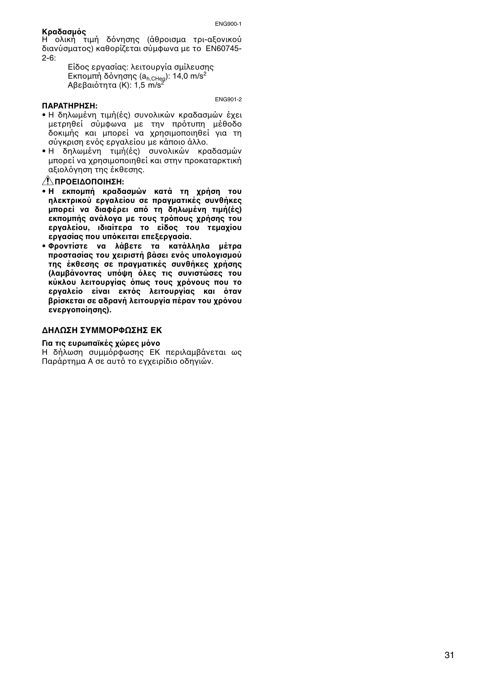#### **Κραδασμός**

Η ολική τιμή δόνησης (άθροισμα τρι-αξονικού διανύσματος) καθορίζεται σύμφωνα με το EN60745- $2 - 6$ 

> Είδος εργασίας: λειτουργία σμίλευσης Εκπομπή δόνησης (a<sub>h,CHeq</sub>): 14,0 m/s<sup>2</sup><br>Αβεβαιότητα (K): 1,5 m/s<sup>2</sup>

> > ENG901-2

#### **ΠΑΡΑΤΗΡΗΣΗ:**

- Η δηλωμένη τιμή(ές) συνολικών κραδασμών έχει μετρηθεί σύμφωνα με την πρότυπη μέθοδο δοκιμής και μπορεί να χρησιμοποιηθεί για τη σύνκριση ενός εργαλείου με κάποιο άλλο.
- Η δηλωμένη τιμή(ές) συνλικών κραδασμών μπροεί να χρησιμοποιηθεί και στην προκαταρκτική αξιολόγηση της έκθεσης.

#### **ΠΡΕΙΔΠΙΗΣΗ:**

- **Η εκπομπή κραδασμών κατά τη χρήση του ηλεκτρικύ εργαλείυ σε πραγματικές συνθήκες** μπορεί να διαφέρει από τη δηλωμένη τιμή(ές) εκπομπής ανάλογα με τους τρόπους χρήσης του εργαλείου, ιδιαίτερα το είδος του τεμαχίου ερνασίας που υπόκειται επεξερνασία.
- **Φρντίστε να λά/ετε τα κατάλληλα μέτρα προστασίας του χειριστή βάσει ενός υπολογισμού της έκθεσης σε πραγματικές συνθήκες ρήσης (λαμβάνοντας υπόψη όλες τις συνιστώσες του κύκλου λειτουργίας όπως τους χρόνους που το** εργαλείο είναι εκτός λειτουργίας και όταν βρίσκεται σε αδρανή λειτουργία πέραν του χρόνου ενεργοποίησης).

#### **ΔΗΛΩΣΗ ΣΥΜΜΡΦΩΣΗΣ ΕΚ**

#### **Για τις ευρωπαϊκές χώρες μόνο**

Η δήλωση συμμόρφωσης ΕΚ περιλαμβάνεται ως Παράρτημα A σε αυτό το εγχειρίδιο οδηγιών.